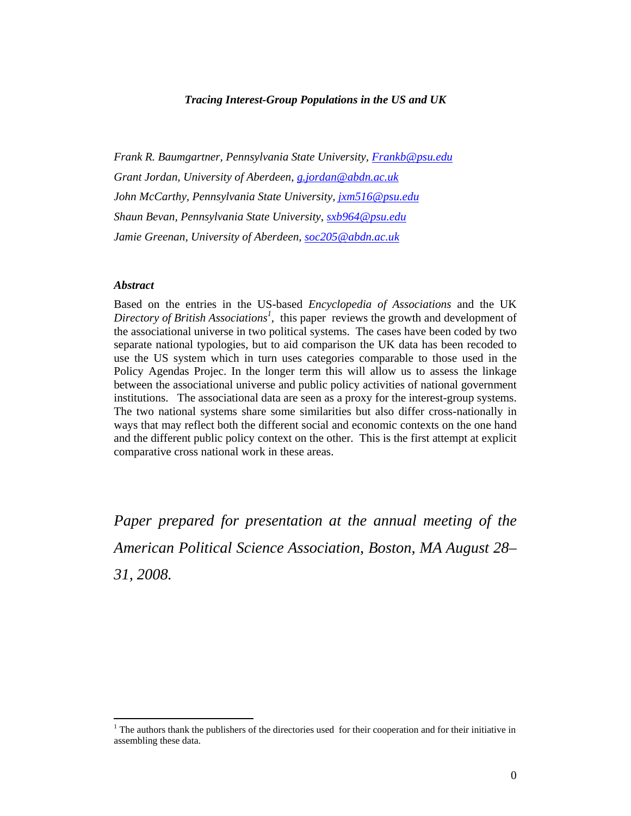# *Tracing Interest-Group Populations in the US and UK*

*Frank R. Baumgartner, Pennsylvania State University, Frankb@psu.edu Grant Jordan, University of Aberdeen, g.jordan@abdn.ac.uk John McCarthy, Pennsylvania State University, jxm516@psu.edu Shaun Bevan, Pennsylvania State University, sxb964@psu.edu Jamie Greenan, University of Aberdeen, soc205@abdn.ac.uk* 

#### *Abstract*

 $\overline{a}$ 

Based on the entries in the US-based *Encyclopedia of Associations* and the UK Directory of British Associations<sup>1</sup>, this paper reviews the growth and development of the associational universe in two political systems. The cases have been coded by two separate national typologies, but to aid comparison the UK data has been recoded to use the US system which in turn uses categories comparable to those used in the Policy Agendas Projec. In the longer term this will allow us to assess the linkage between the associational universe and public policy activities of national government institutions. The associational data are seen as a proxy for the interest-group systems. The two national systems share some similarities but also differ cross-nationally in ways that may reflect both the different social and economic contexts on the one hand and the different public policy context on the other. This is the first attempt at explicit comparative cross national work in these areas.

*Paper prepared for presentation at the annual meeting of the American Political Science Association, Boston, MA August 28– 31, 2008.* 

 $<sup>1</sup>$  The authors thank the publishers of the directories used for their cooperation and for their initiative in</sup> assembling these data.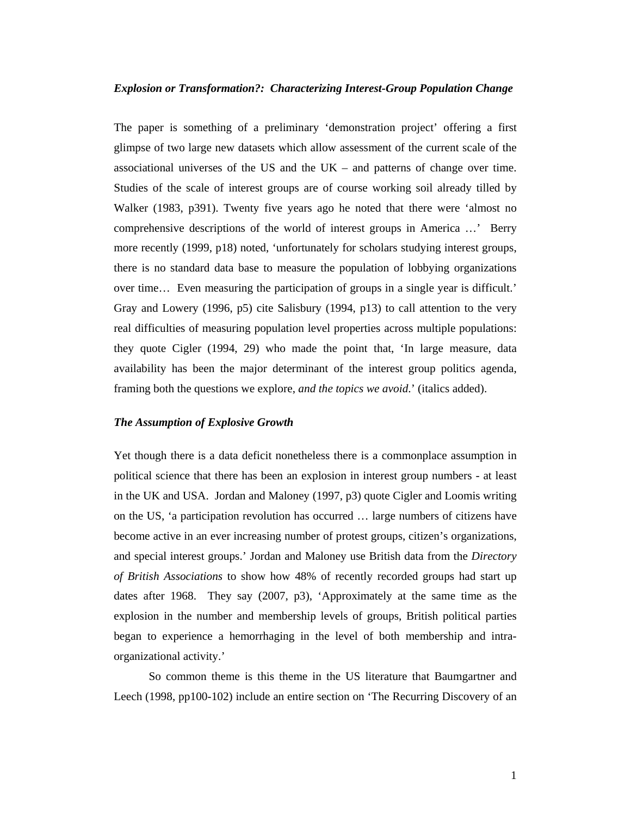#### *Explosion or Transformation?: Characterizing Interest-Group Population Change*

The paper is something of a preliminary 'demonstration project' offering a first glimpse of two large new datasets which allow assessment of the current scale of the associational universes of the US and the  $UK -$  and patterns of change over time. Studies of the scale of interest groups are of course working soil already tilled by Walker (1983, p391). Twenty five years ago he noted that there were 'almost no comprehensive descriptions of the world of interest groups in America …' Berry more recently (1999, p18) noted, 'unfortunately for scholars studying interest groups, there is no standard data base to measure the population of lobbying organizations over time… Even measuring the participation of groups in a single year is difficult.' Gray and Lowery (1996, p5) cite Salisbury (1994, p13) to call attention to the very real difficulties of measuring population level properties across multiple populations: they quote Cigler (1994, 29) who made the point that, 'In large measure, data availability has been the major determinant of the interest group politics agenda, framing both the questions we explore, *and the topics we avoid*.' (italics added).

#### *The Assumption of Explosive Growth*

Yet though there is a data deficit nonetheless there is a commonplace assumption in political science that there has been an explosion in interest group numbers - at least in the UK and USA. Jordan and Maloney (1997, p3) quote Cigler and Loomis writing on the US, 'a participation revolution has occurred … large numbers of citizens have become active in an ever increasing number of protest groups, citizen's organizations, and special interest groups.' Jordan and Maloney use British data from the *Directory of British Associations* to show how 48% of recently recorded groups had start up dates after 1968. They say (2007, p3), 'Approximately at the same time as the explosion in the number and membership levels of groups, British political parties began to experience a hemorrhaging in the level of both membership and intraorganizational activity.'

So common theme is this theme in the US literature that Baumgartner and Leech (1998, pp100-102) include an entire section on 'The Recurring Discovery of an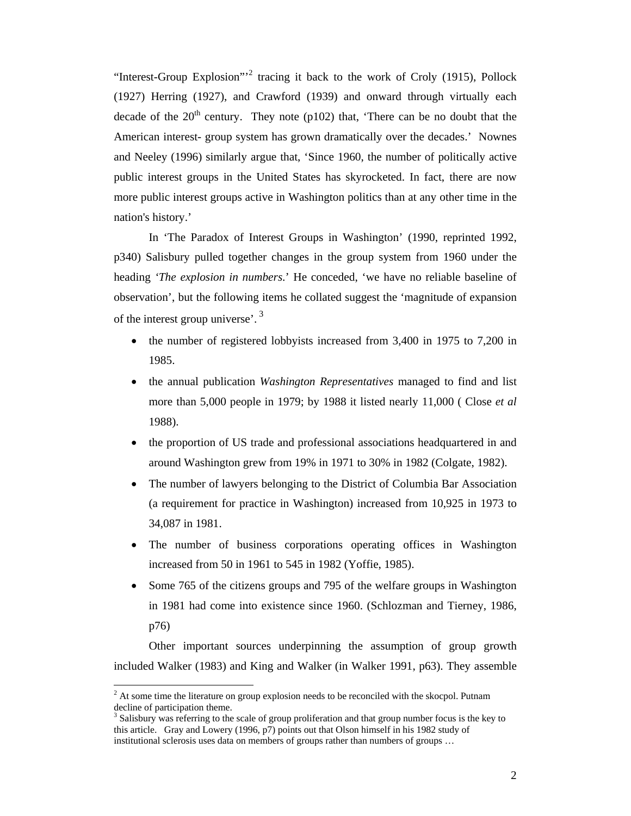"Interest-Group Explosion"<sup>2</sup> tracing it back to the work of Croly (1915), Pollock (1927) Herring (1927), and Crawford (1939) and onward through virtually each decade of the  $20<sup>th</sup>$  century. They note (p102) that, 'There can be no doubt that the American interest- group system has grown dramatically over the decades.' Nownes and Neeley (1996) similarly argue that, 'Since 1960, the number of politically active public interest groups in the United States has skyrocketed. In fact, there are now more public interest groups active in Washington politics than at any other time in the nation's history.'

In 'The Paradox of Interest Groups in Washington' (1990, reprinted 1992, p340) Salisbury pulled together changes in the group system from 1960 under the heading *'The explosion in numbers*.' He conceded, 'we have no reliable baseline of observation', but the following items he collated suggest the 'magnitude of expansion of the interest group universe'.<sup>3</sup>

- the number of registered lobbyists increased from 3,400 in 1975 to 7,200 in 1985.
- the annual publication *Washington Representatives* managed to find and list more than 5,000 people in 1979; by 1988 it listed nearly 11,000 ( Close *et al* 1988).
- the proportion of US trade and professional associations headquartered in and around Washington grew from 19% in 1971 to 30% in 1982 (Colgate, 1982).
- The number of lawyers belonging to the District of Columbia Bar Association (a requirement for practice in Washington) increased from 10,925 in 1973 to 34,087 in 1981.
- The number of business corporations operating offices in Washington increased from 50 in 1961 to 545 in 1982 (Yoffie, 1985).
- Some 765 of the citizens groups and 795 of the welfare groups in Washington in 1981 had come into existence since 1960. (Schlozman and Tierney, 1986, p76)

Other important sources underpinning the assumption of group growth included Walker (1983) and King and Walker (in Walker 1991, p63). They assemble

 $\overline{a}$ 

 $2<sup>2</sup>$  At some time the literature on group explosion needs to be reconciled with the skocpol. Putnam decline of participation theme.

<sup>&</sup>lt;sup>3</sup> Salisbury was referring to the scale of group proliferation and that group number focus is the key to this article. Gray and Lowery (1996, p7) points out that Olson himself in his 1982 study of institutional sclerosis uses data on members of groups rather than numbers of groups …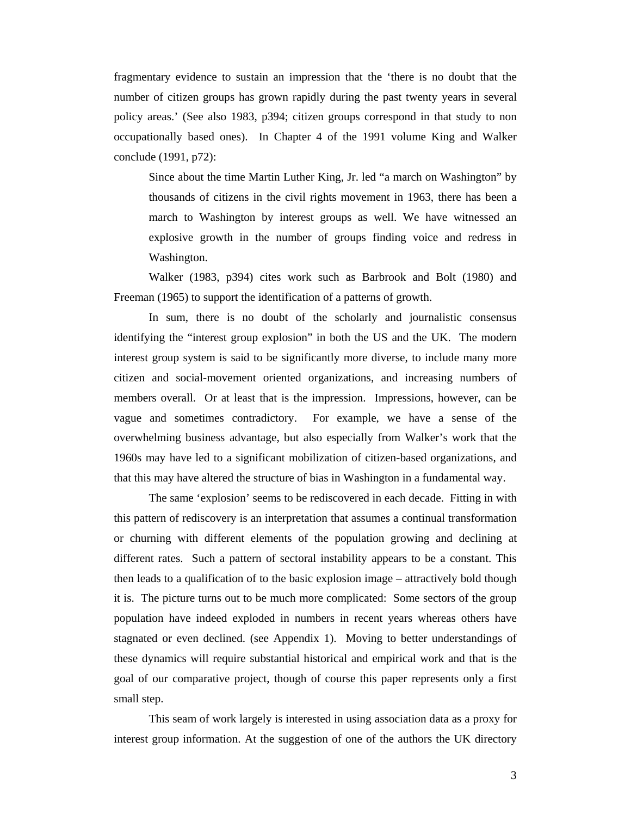fragmentary evidence to sustain an impression that the 'there is no doubt that the number of citizen groups has grown rapidly during the past twenty years in several policy areas.' (See also 1983, p394; citizen groups correspond in that study to non occupationally based ones). In Chapter 4 of the 1991 volume King and Walker conclude (1991, p72):

Since about the time Martin Luther King, Jr. led "a march on Washington" by thousands of citizens in the civil rights movement in 1963, there has been a march to Washington by interest groups as well. We have witnessed an explosive growth in the number of groups finding voice and redress in Washington.

Walker (1983, p394) cites work such as Barbrook and Bolt (1980) and Freeman (1965) to support the identification of a patterns of growth.

In sum, there is no doubt of the scholarly and journalistic consensus identifying the "interest group explosion" in both the US and the UK. The modern interest group system is said to be significantly more diverse, to include many more citizen and social-movement oriented organizations, and increasing numbers of members overall. Or at least that is the impression. Impressions, however, can be vague and sometimes contradictory. For example, we have a sense of the overwhelming business advantage, but also especially from Walker's work that the 1960s may have led to a significant mobilization of citizen-based organizations, and that this may have altered the structure of bias in Washington in a fundamental way.

The same 'explosion' seems to be rediscovered in each decade. Fitting in with this pattern of rediscovery is an interpretation that assumes a continual transformation or churning with different elements of the population growing and declining at different rates. Such a pattern of sectoral instability appears to be a constant. This then leads to a qualification of to the basic explosion image – attractively bold though it is. The picture turns out to be much more complicated: Some sectors of the group population have indeed exploded in numbers in recent years whereas others have stagnated or even declined. (see Appendix 1). Moving to better understandings of these dynamics will require substantial historical and empirical work and that is the goal of our comparative project, though of course this paper represents only a first small step.

This seam of work largely is interested in using association data as a proxy for interest group information. At the suggestion of one of the authors the UK directory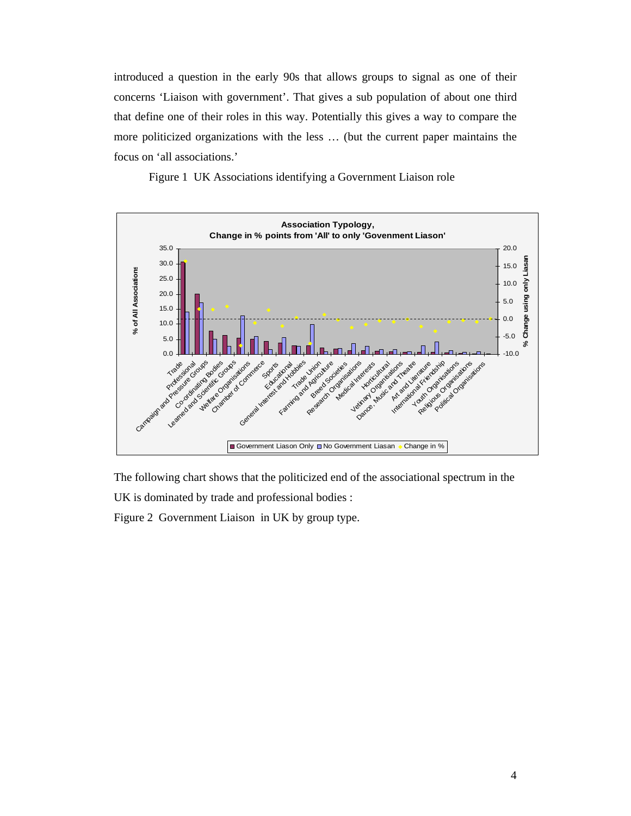introduced a question in the early 90s that allows groups to signal as one of their concerns 'Liaison with government'. That gives a sub population of about one third that define one of their roles in this way. Potentially this gives a way to compare the more politicized organizations with the less … (but the current paper maintains the focus on 'all associations.'





The following chart shows that the politicized end of the associational spectrum in the

UK is dominated by trade and professional bodies :

Figure 2 Government Liaison in UK by group type.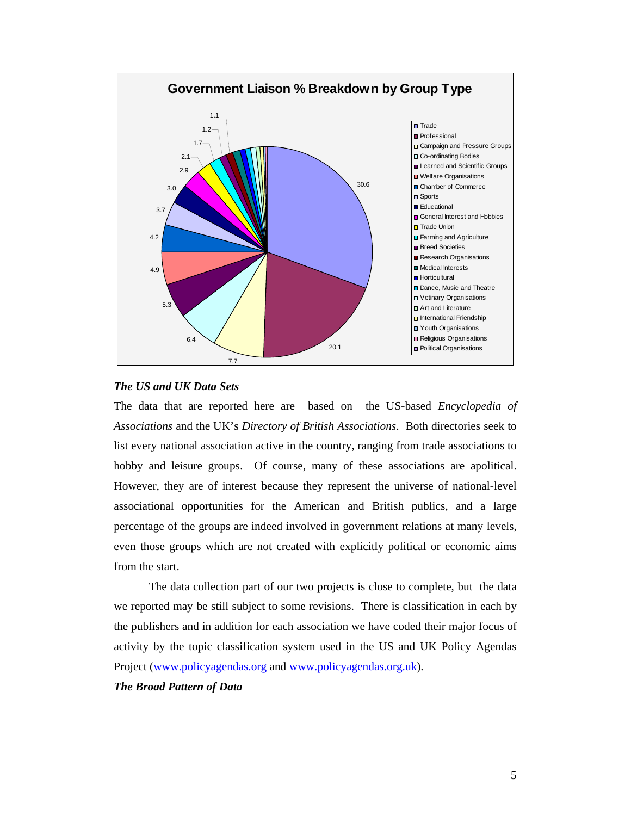

# *The US and UK Data Sets*

The data that are reported here are based on the US-based *Encyclopedia of Associations* and the UK's *Directory of British Associations*. Both directories seek to list every national association active in the country, ranging from trade associations to hobby and leisure groups. Of course, many of these associations are apolitical. However, they are of interest because they represent the universe of national-level associational opportunities for the American and British publics, and a large percentage of the groups are indeed involved in government relations at many levels, even those groups which are not created with explicitly political or economic aims from the start.

The data collection part of our two projects is close to complete, but the data we reported may be still subject to some revisions. There is classification in each by the publishers and in addition for each association we have coded their major focus of activity by the topic classification system used in the US and UK Policy Agendas Project (www.policyagendas.org and www.policyagendas.org.uk).

### *The Broad Pattern of Data*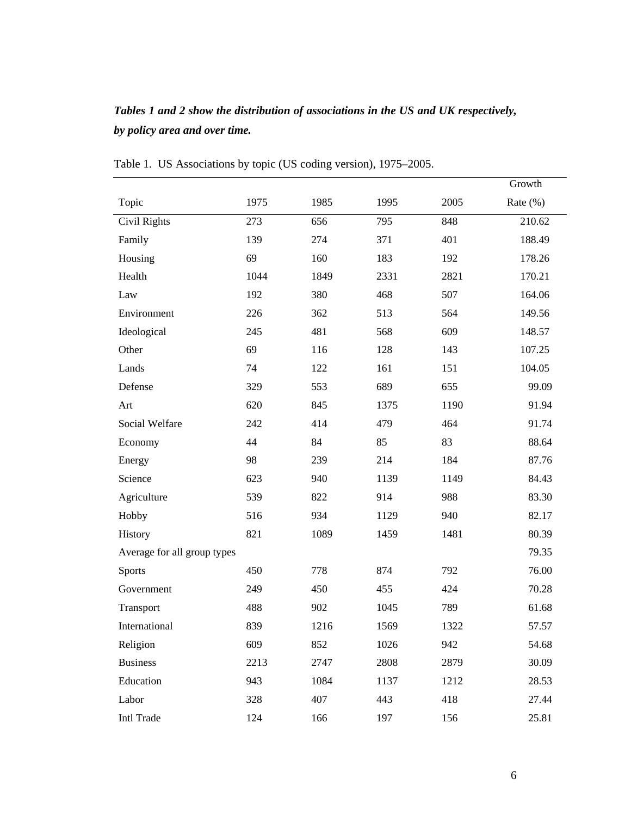# *Tables 1 and 2 show the distribution of associations in the US and UK respectively, by policy area and over time.*

|                             |      |      |      |      | Growth      |
|-----------------------------|------|------|------|------|-------------|
| Topic                       | 1975 | 1985 | 1995 | 2005 | Rate $(\%)$ |
| Civil Rights                | 273  | 656  | 795  | 848  | 210.62      |
| Family                      | 139  | 274  | 371  | 401  | 188.49      |
| Housing                     | 69   | 160  | 183  | 192  | 178.26      |
| Health                      | 1044 | 1849 | 2331 | 2821 | 170.21      |
| Law                         | 192  | 380  | 468  | 507  | 164.06      |
| Environment                 | 226  | 362  | 513  | 564  | 149.56      |
| Ideological                 | 245  | 481  | 568  | 609  | 148.57      |
| Other                       | 69   | 116  | 128  | 143  | 107.25      |
| Lands                       | 74   | 122  | 161  | 151  | 104.05      |
| Defense                     | 329  | 553  | 689  | 655  | 99.09       |
| Art                         | 620  | 845  | 1375 | 1190 | 91.94       |
| Social Welfare              | 242  | 414  | 479  | 464  | 91.74       |
| Economy                     | 44   | 84   | 85   | 83   | 88.64       |
| Energy                      | 98   | 239  | 214  | 184  | 87.76       |
| Science                     | 623  | 940  | 1139 | 1149 | 84.43       |
| Agriculture                 | 539  | 822  | 914  | 988  | 83.30       |
| Hobby                       | 516  | 934  | 1129 | 940  | 82.17       |
| History                     | 821  | 1089 | 1459 | 1481 | 80.39       |
| Average for all group types |      |      |      |      | 79.35       |
| <b>Sports</b>               | 450  | 778  | 874  | 792  | 76.00       |
| Government                  | 249  | 450  | 455  | 424  | 70.28       |
| Transport                   | 488  | 902  | 1045 | 789  | 61.68       |
| International               | 839  | 1216 | 1569 | 1322 | 57.57       |
| Religion                    | 609  | 852  | 1026 | 942  | 54.68       |
| <b>Business</b>             | 2213 | 2747 | 2808 | 2879 | 30.09       |
| Education                   | 943  | 1084 | 1137 | 1212 | 28.53       |
| Labor                       | 328  | 407  | 443  | 418  | 27.44       |
| Intl Trade                  | 124  | 166  | 197  | 156  | 25.81       |

Table 1. US Associations by topic (US coding version), 1975–2005.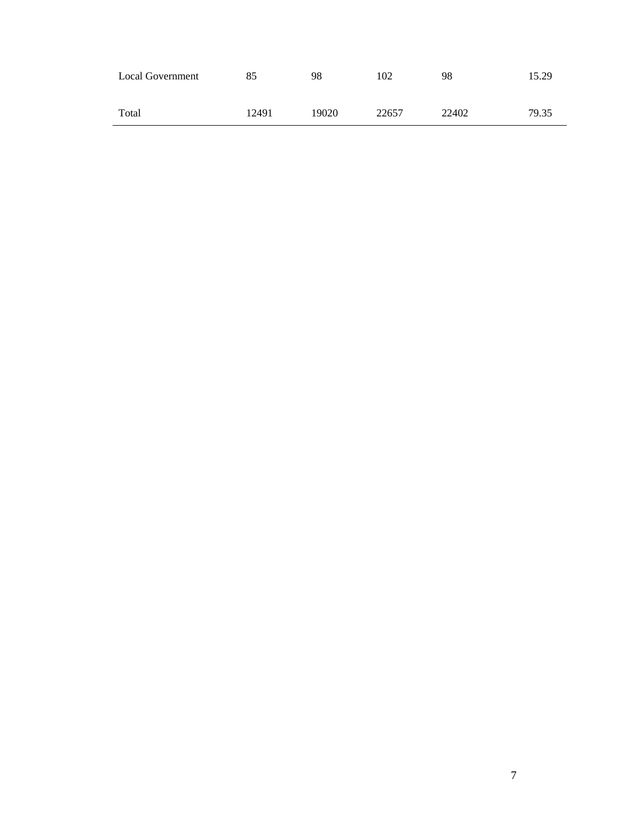| <b>Local Government</b> | 85    | 98    | 102   | 98    | 15.29 |
|-------------------------|-------|-------|-------|-------|-------|
| Total                   | 12491 | 19020 | 22657 | 22402 | 79.35 |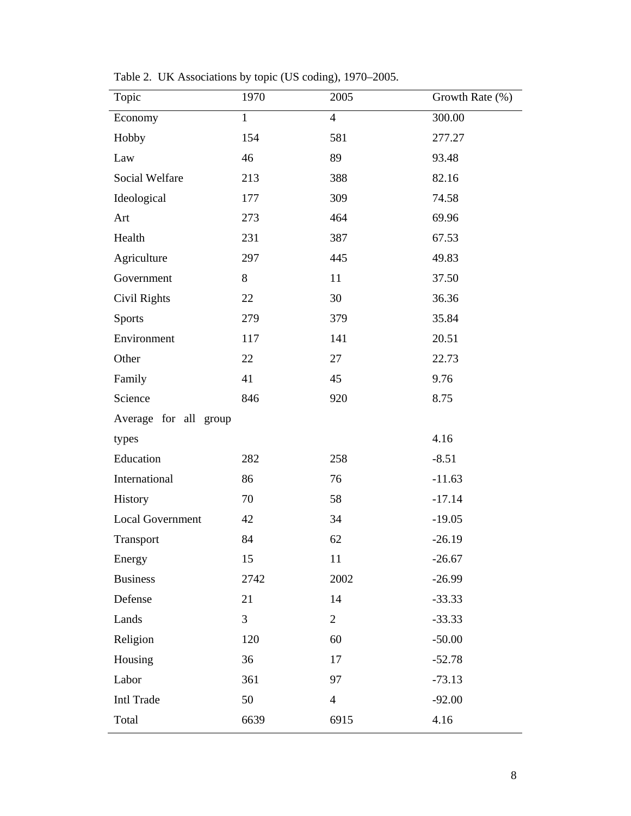Table 2. UK Associations by topic (US coding), 1970–2005.

| Topic                   | 1970         | 2005           | Growth Rate (%) |
|-------------------------|--------------|----------------|-----------------|
| Economy                 | $\mathbf{1}$ | $\overline{4}$ | 300.00          |
| Hobby                   | 154          | 581            | 277.27          |
| Law                     | 46           | 89             | 93.48           |
| Social Welfare          | 213          | 388            | 82.16           |
| Ideological             | 177          | 309            | 74.58           |
| Art                     | 273          | 464            | 69.96           |
| Health                  | 231          | 387            | 67.53           |
| Agriculture             | 297          | 445            | 49.83           |
| Government              | 8            | 11             | 37.50           |
| Civil Rights            | 22           | 30             | 36.36           |
| <b>Sports</b>           | 279          | 379            | 35.84           |
| Environment             | 117          | 141            | 20.51           |
| Other                   | 22           | 27             | 22.73           |
| Family                  | 41           | 45             | 9.76            |
| Science                 | 846          | 920            | 8.75            |
| Average for all group   |              |                |                 |
| types                   |              |                | 4.16            |
| Education               | 282          | 258            | $-8.51$         |
| International           | 86           | 76             | $-11.63$        |
| History                 | 70           | 58             | $-17.14$        |
| <b>Local Government</b> | 42           | 34             | $-19.05$        |
| Transport               | 84           | 62             | $-26.19$        |
| Energy                  | 15           | 11             | $-26.67$        |
| <b>Business</b>         | 2742         | 2002           | $-26.99$        |
| Defense                 | 21           | 14             | $-33.33$        |
| Lands                   | 3            | $\overline{2}$ | $-33.33$        |
| Religion                | 120          | 60             | $-50.00$        |
| Housing                 | 36           | 17             | $-52.78$        |
| Labor                   | 361          | 97             | $-73.13$        |
| <b>Intl Trade</b>       | 50           | $\overline{4}$ | $-92.00$        |
| Total                   | 6639         | 6915           | 4.16            |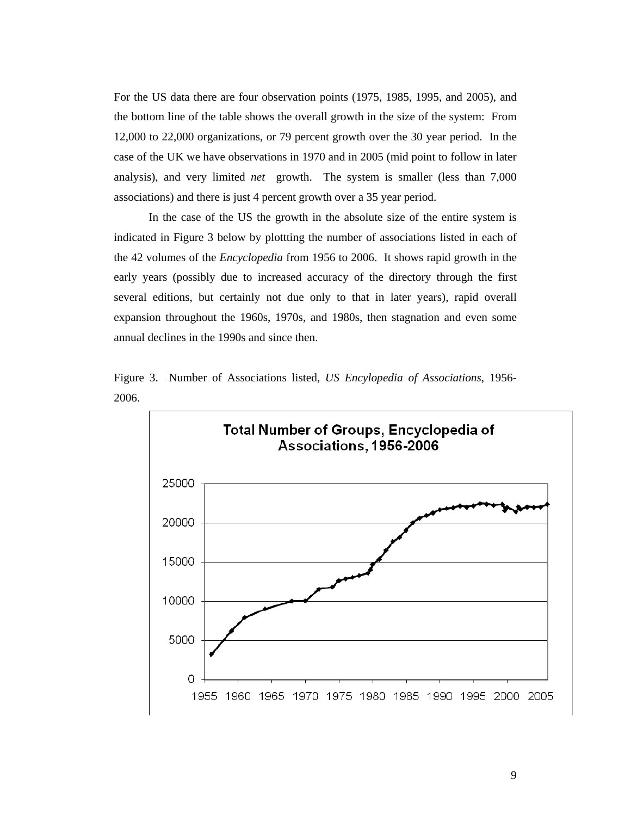For the US data there are four observation points (1975, 1985, 1995, and 2005), and the bottom line of the table shows the overall growth in the size of the system: From 12,000 to 22,000 organizations, or 79 percent growth over the 30 year period. In the case of the UK we have observations in 1970 and in 2005 (mid point to follow in later analysis), and very limited *net* growth. The system is smaller (less than 7,000 associations) and there is just 4 percent growth over a 35 year period.

In the case of the US the growth in the absolute size of the entire system is indicated in Figure 3 below by plottting the number of associations listed in each of the 42 volumes of the *Encyclopedia* from 1956 to 2006. It shows rapid growth in the early years (possibly due to increased accuracy of the directory through the first several editions, but certainly not due only to that in later years), rapid overall expansion throughout the 1960s, 1970s, and 1980s, then stagnation and even some annual declines in the 1990s and since then.



Figure 3. Number of Associations listed, *US Encylopedia of Associations*, 1956- 2006.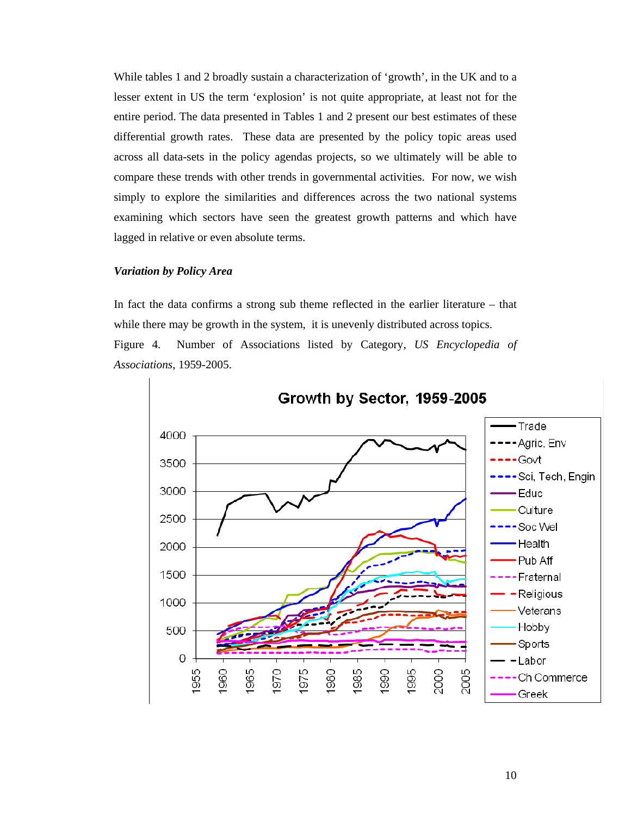While tables 1 and 2 broadly sustain a characterization of 'growth', in the UK and to a lesser extent in US the term 'explosion' is not quite appropriate, at least not for the entire period. The data presented in Tables 1 and 2 present our best estimates of these differential growth rates. These data are presented by the policy topic areas used across all data-sets in the policy agendas projects, so we ultimately will be able to compare these trends with other trends in governmental activities. For now, we wish simply to explore the similarities and differences across the two national systems examining which sectors have seen the greatest growth patterns and which have lagged in relative or even absolute terms.

# *Variation by Policy Area*

In fact the data confirms a strong sub theme reflected in the earlier literature – that while there may be growth in the system, it is unevenly distributed across topics. Figure 4. Number of Associations listed by Category, *US Encyclopedia of Associations*, 1959-2005.

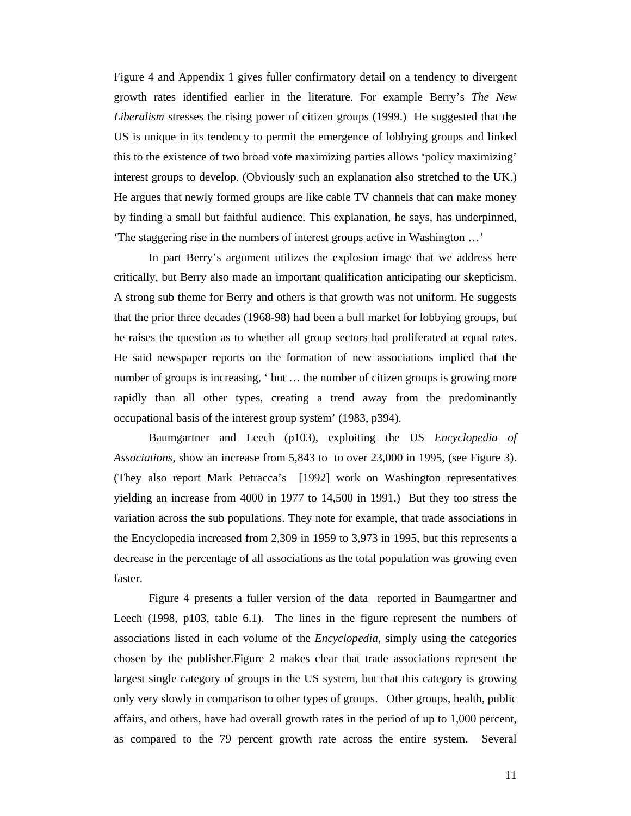Figure 4 and Appendix 1 gives fuller confirmatory detail on a tendency to divergent growth rates identified earlier in the literature. For example Berry's *The New Liberalism* stresses the rising power of citizen groups (1999.) He suggested that the US is unique in its tendency to permit the emergence of lobbying groups and linked this to the existence of two broad vote maximizing parties allows 'policy maximizing' interest groups to develop. (Obviously such an explanation also stretched to the UK.) He argues that newly formed groups are like cable TV channels that can make money by finding a small but faithful audience. This explanation, he says, has underpinned, 'The staggering rise in the numbers of interest groups active in Washington …'

In part Berry's argument utilizes the explosion image that we address here critically, but Berry also made an important qualification anticipating our skepticism. A strong sub theme for Berry and others is that growth was not uniform. He suggests that the prior three decades (1968-98) had been a bull market for lobbying groups, but he raises the question as to whether all group sectors had proliferated at equal rates. He said newspaper reports on the formation of new associations implied that the number of groups is increasing, ' but … the number of citizen groups is growing more rapidly than all other types, creating a trend away from the predominantly occupational basis of the interest group system' (1983, p394).

Baumgartner and Leech (p103), exploiting the US *Encyclopedia of Associations,* show an increase from 5,843 to to over 23,000 in 1995, (see Figure 3). (They also report Mark Petracca's [1992] work on Washington representatives yielding an increase from 4000 in 1977 to 14,500 in 1991.) But they too stress the variation across the sub populations. They note for example, that trade associations in the Encyclopedia increased from 2,309 in 1959 to 3,973 in 1995, but this represents a decrease in the percentage of all associations as the total population was growing even faster.

Figure 4 presents a fuller version of the data reported in Baumgartner and Leech (1998, p103, table 6.1). The lines in the figure represent the numbers of associations listed in each volume of the *Encyclopedia*, simply using the categories chosen by the publisher.Figure 2 makes clear that trade associations represent the largest single category of groups in the US system, but that this category is growing only very slowly in comparison to other types of groups. Other groups, health, public affairs, and others, have had overall growth rates in the period of up to 1,000 percent, as compared to the 79 percent growth rate across the entire system. Several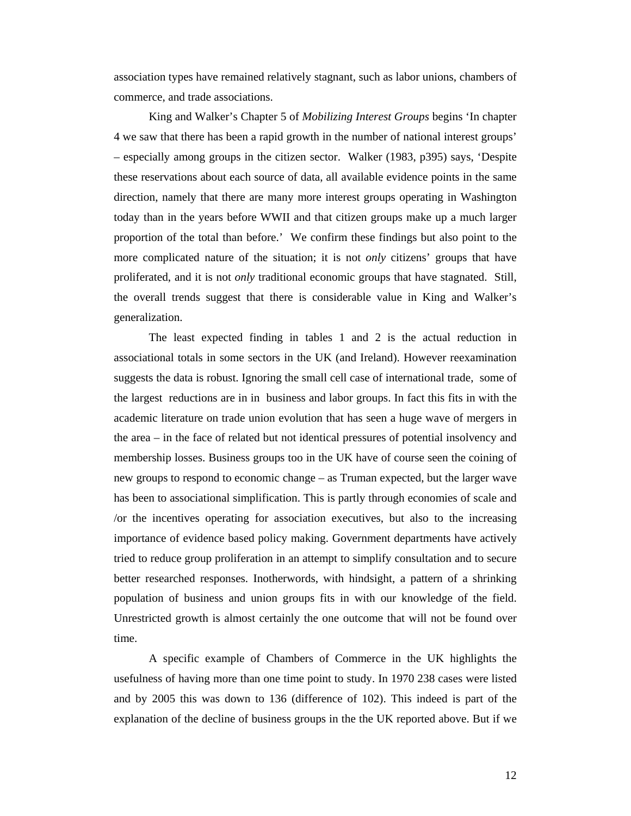association types have remained relatively stagnant, such as labor unions, chambers of commerce, and trade associations.

King and Walker's Chapter 5 of *Mobilizing Interest Groups* begins 'In chapter 4 we saw that there has been a rapid growth in the number of national interest groups' – especially among groups in the citizen sector. Walker (1983, p395) says, 'Despite these reservations about each source of data, all available evidence points in the same direction, namely that there are many more interest groups operating in Washington today than in the years before WWII and that citizen groups make up a much larger proportion of the total than before.' We confirm these findings but also point to the more complicated nature of the situation; it is not *only* citizens' groups that have proliferated, and it is not *only* traditional economic groups that have stagnated. Still, the overall trends suggest that there is considerable value in King and Walker's generalization.

The least expected finding in tables 1 and 2 is the actual reduction in associational totals in some sectors in the UK (and Ireland). However reexamination suggests the data is robust. Ignoring the small cell case of international trade, some of the largest reductions are in in business and labor groups. In fact this fits in with the academic literature on trade union evolution that has seen a huge wave of mergers in the area – in the face of related but not identical pressures of potential insolvency and membership losses. Business groups too in the UK have of course seen the coining of new groups to respond to economic change – as Truman expected, but the larger wave has been to associational simplification. This is partly through economies of scale and /or the incentives operating for association executives, but also to the increasing importance of evidence based policy making. Government departments have actively tried to reduce group proliferation in an attempt to simplify consultation and to secure better researched responses. Inotherwords, with hindsight, a pattern of a shrinking population of business and union groups fits in with our knowledge of the field. Unrestricted growth is almost certainly the one outcome that will not be found over time.

A specific example of Chambers of Commerce in the UK highlights the usefulness of having more than one time point to study. In 1970 238 cases were listed and by 2005 this was down to 136 (difference of 102). This indeed is part of the explanation of the decline of business groups in the the UK reported above. But if we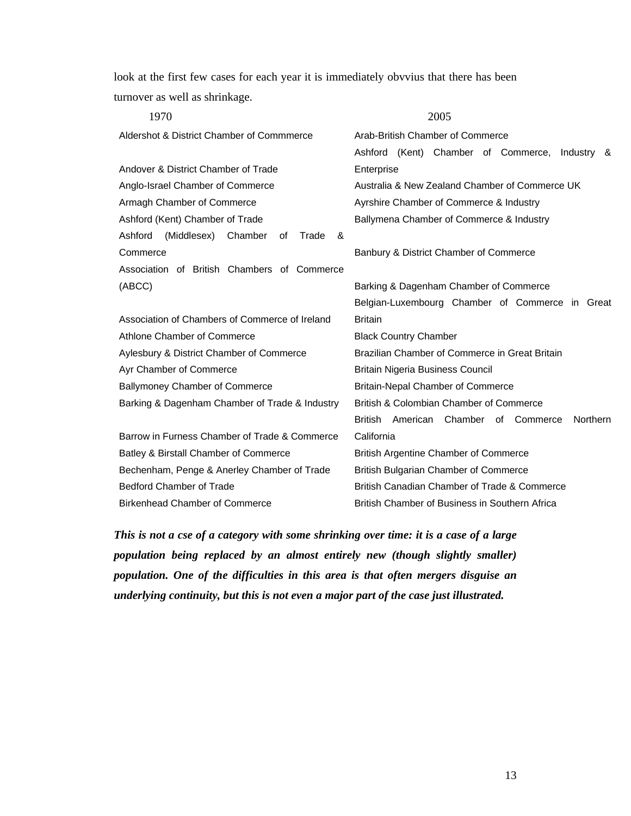look at the first few cases for each year it is immediately obvvius that there has been turnover as well as shrinkage.

| 1970                                                  | 2005                                                              |  |  |  |  |  |  |  |  |
|-------------------------------------------------------|-------------------------------------------------------------------|--|--|--|--|--|--|--|--|
| Aldershot & District Chamber of Commmerce             | Arab-British Chamber of Commerce                                  |  |  |  |  |  |  |  |  |
|                                                       | Ashford (Kent) Chamber of Commerce, Industry &                    |  |  |  |  |  |  |  |  |
| Andover & District Chamber of Trade                   | Enterprise                                                        |  |  |  |  |  |  |  |  |
| Anglo-Israel Chamber of Commerce                      | Australia & New Zealand Chamber of Commerce UK                    |  |  |  |  |  |  |  |  |
| Armagh Chamber of Commerce                            | Ayrshire Chamber of Commerce & Industry                           |  |  |  |  |  |  |  |  |
| Ashford (Kent) Chamber of Trade                       | Ballymena Chamber of Commerce & Industry                          |  |  |  |  |  |  |  |  |
| Ashford<br>(Middlesex)<br>Chamber<br>Trade<br>&<br>of |                                                                   |  |  |  |  |  |  |  |  |
| Commerce                                              | Banbury & District Chamber of Commerce                            |  |  |  |  |  |  |  |  |
| Association of British Chambers of Commerce           |                                                                   |  |  |  |  |  |  |  |  |
| (ABCC)                                                | Barking & Dagenham Chamber of Commerce                            |  |  |  |  |  |  |  |  |
|                                                       | Belgian-Luxembourg Chamber of Commerce in Great                   |  |  |  |  |  |  |  |  |
| Association of Chambers of Commerce of Ireland        | <b>Britain</b>                                                    |  |  |  |  |  |  |  |  |
| Athlone Chamber of Commerce                           | <b>Black Country Chamber</b>                                      |  |  |  |  |  |  |  |  |
| Aylesbury & District Chamber of Commerce              | Brazilian Chamber of Commerce in Great Britain                    |  |  |  |  |  |  |  |  |
| Ayr Chamber of Commerce                               | <b>Britain Nigeria Business Council</b>                           |  |  |  |  |  |  |  |  |
| <b>Ballymoney Chamber of Commerce</b>                 | <b>Britain-Nepal Chamber of Commerce</b>                          |  |  |  |  |  |  |  |  |
| Barking & Dagenham Chamber of Trade & Industry        | British & Colombian Chamber of Commerce                           |  |  |  |  |  |  |  |  |
|                                                       | American Chamber of Commerce<br><b>Northern</b><br><b>British</b> |  |  |  |  |  |  |  |  |
| Barrow in Furness Chamber of Trade & Commerce         | California                                                        |  |  |  |  |  |  |  |  |
| Batley & Birstall Chamber of Commerce                 | <b>British Argentine Chamber of Commerce</b>                      |  |  |  |  |  |  |  |  |
| Bechenham, Penge & Anerley Chamber of Trade           | <b>British Bulgarian Chamber of Commerce</b>                      |  |  |  |  |  |  |  |  |
| <b>Bedford Chamber of Trade</b>                       | British Canadian Chamber of Trade & Commerce                      |  |  |  |  |  |  |  |  |
| <b>Birkenhead Chamber of Commerce</b>                 | British Chamber of Business in Southern Africa                    |  |  |  |  |  |  |  |  |

*This is not a cse of a category with some shrinking over time: it is a case of a large population being replaced by an almost entirely new (though slightly smaller) population. One of the difficulties in this area is that often mergers disguise an underlying continuity, but this is not even a major part of the case just illustrated.*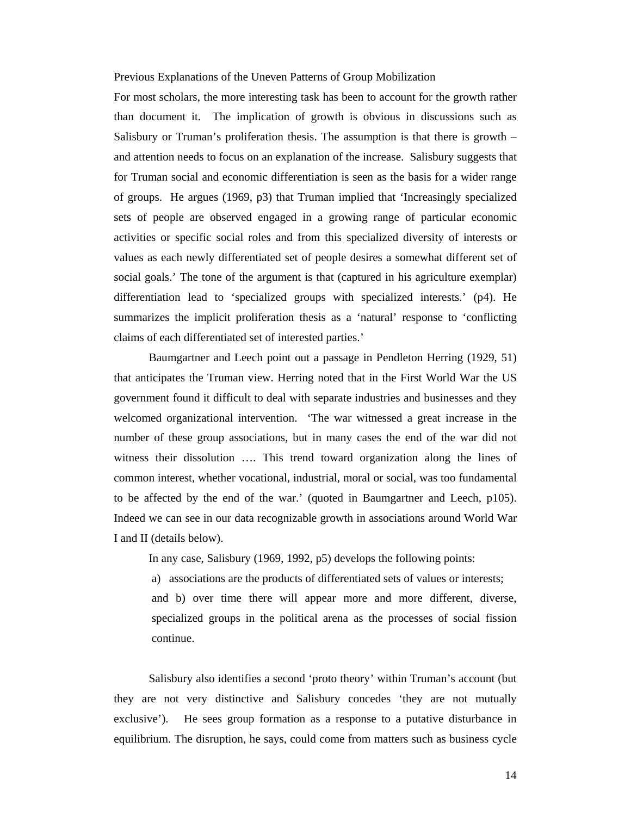#### Previous Explanations of the Uneven Patterns of Group Mobilization

For most scholars, the more interesting task has been to account for the growth rather than document it. The implication of growth is obvious in discussions such as Salisbury or Truman's proliferation thesis. The assumption is that there is growth – and attention needs to focus on an explanation of the increase. Salisbury suggests that for Truman social and economic differentiation is seen as the basis for a wider range of groups. He argues (1969, p3) that Truman implied that 'Increasingly specialized sets of people are observed engaged in a growing range of particular economic activities or specific social roles and from this specialized diversity of interests or values as each newly differentiated set of people desires a somewhat different set of social goals.' The tone of the argument is that (captured in his agriculture exemplar) differentiation lead to 'specialized groups with specialized interests.' (p4). He summarizes the implicit proliferation thesis as a 'natural' response to 'conflicting claims of each differentiated set of interested parties.'

Baumgartner and Leech point out a passage in Pendleton Herring (1929, 51) that anticipates the Truman view. Herring noted that in the First World War the US government found it difficult to deal with separate industries and businesses and they welcomed organizational intervention. 'The war witnessed a great increase in the number of these group associations, but in many cases the end of the war did not witness their dissolution …. This trend toward organization along the lines of common interest, whether vocational, industrial, moral or social, was too fundamental to be affected by the end of the war.' (quoted in Baumgartner and Leech, p105). Indeed we can see in our data recognizable growth in associations around World War I and II (details below).

In any case, Salisbury (1969, 1992, p5) develops the following points:

a) associations are the products of differentiated sets of values or interests; and b) over time there will appear more and more different, diverse, specialized groups in the political arena as the processes of social fission continue.

Salisbury also identifies a second 'proto theory' within Truman's account (but they are not very distinctive and Salisbury concedes 'they are not mutually exclusive'). He sees group formation as a response to a putative disturbance in equilibrium. The disruption, he says, could come from matters such as business cycle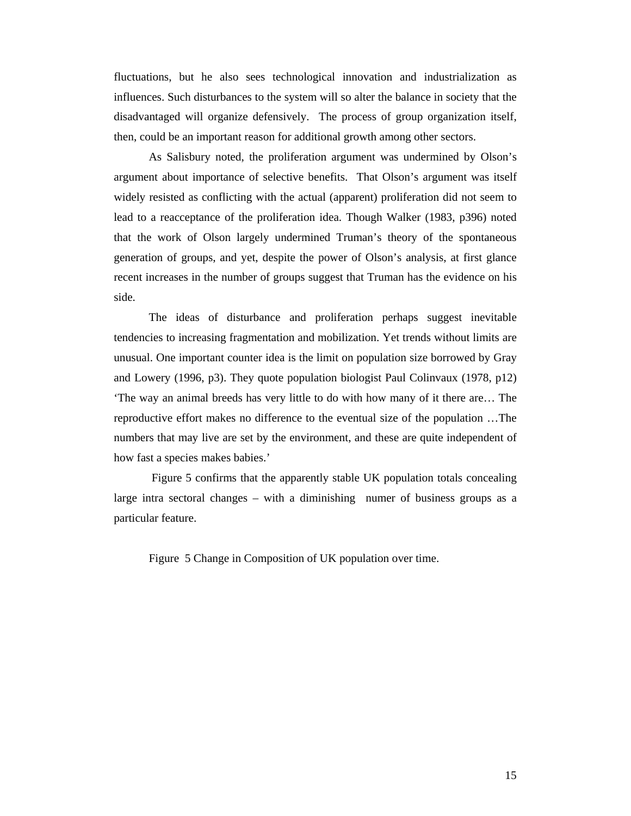fluctuations, but he also sees technological innovation and industrialization as influences. Such disturbances to the system will so alter the balance in society that the disadvantaged will organize defensively. The process of group organization itself, then, could be an important reason for additional growth among other sectors.

As Salisbury noted, the proliferation argument was undermined by Olson's argument about importance of selective benefits. That Olson's argument was itself widely resisted as conflicting with the actual (apparent) proliferation did not seem to lead to a reacceptance of the proliferation idea. Though Walker (1983, p396) noted that the work of Olson largely undermined Truman's theory of the spontaneous generation of groups, and yet, despite the power of Olson's analysis, at first glance recent increases in the number of groups suggest that Truman has the evidence on his side.

The ideas of disturbance and proliferation perhaps suggest inevitable tendencies to increasing fragmentation and mobilization. Yet trends without limits are unusual. One important counter idea is the limit on population size borrowed by Gray and Lowery (1996, p3). They quote population biologist Paul Colinvaux (1978, p12) 'The way an animal breeds has very little to do with how many of it there are… The reproductive effort makes no difference to the eventual size of the population …The numbers that may live are set by the environment, and these are quite independent of how fast a species makes babies.'

 Figure 5 confirms that the apparently stable UK population totals concealing large intra sectoral changes – with a diminishing numer of business groups as a particular feature.

Figure 5 Change in Composition of UK population over time.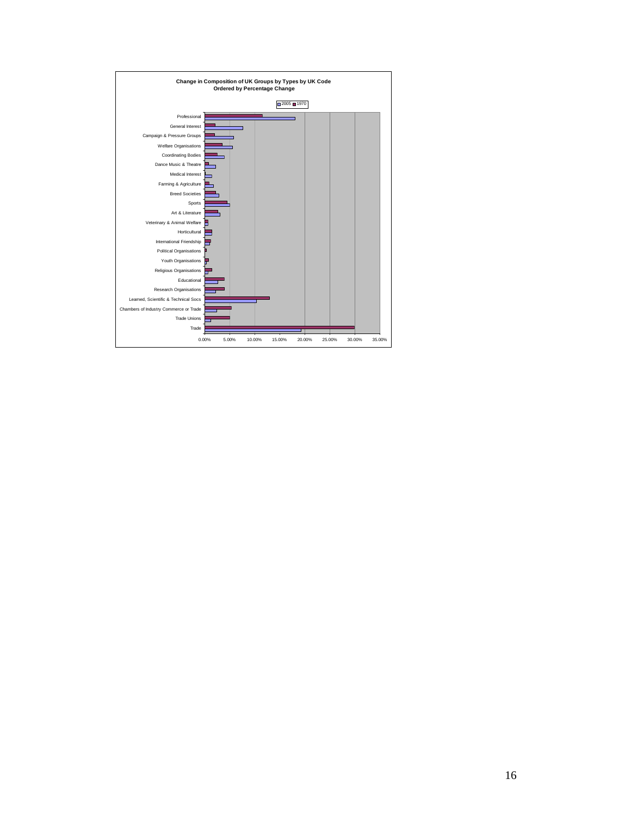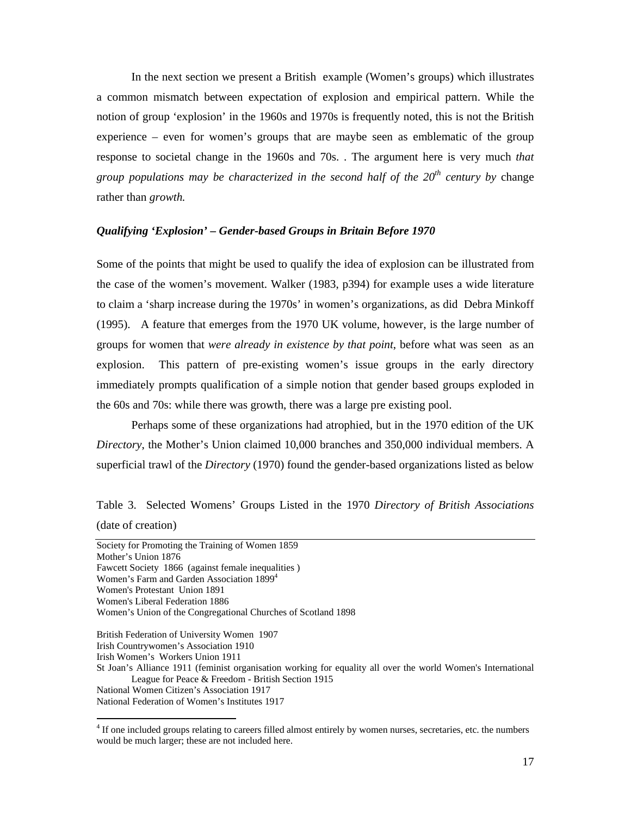In the next section we present a British example (Women's groups) which illustrates a common mismatch between expectation of explosion and empirical pattern. While the notion of group 'explosion' in the 1960s and 1970s is frequently noted, this is not the British experience – even for women's groups that are maybe seen as emblematic of the group response to societal change in the 1960s and 70s. . The argument here is very much *that group populations may be characterized in the second half of the 20th century by* change rather than *growth.* 

# *Qualifying 'Explosion' – Gender-based Groups in Britain Before 1970*

Some of the points that might be used to qualify the idea of explosion can be illustrated from the case of the women's movement. Walker (1983, p394) for example uses a wide literature to claim a 'sharp increase during the 1970s' in women's organizations, as did Debra Minkoff (1995). A feature that emerges from the 1970 UK volume, however, is the large number of groups for women that *were already in existence by that point*, before what was seen as an explosion. This pattern of pre-existing women's issue groups in the early directory immediately prompts qualification of a simple notion that gender based groups exploded in the 60s and 70s: while there was growth, there was a large pre existing pool.

Perhaps some of these organizations had atrophied, but in the 1970 edition of the UK *Directory*, the Mother's Union claimed 10,000 branches and 350,000 individual members. A superficial trawl of the *Directory* (1970) found the gender-based organizations listed as below

# Table 3. Selected Womens' Groups Listed in the 1970 *Directory of British Associations* (date of creation)

Society for Promoting the Training of Women 1859 Mother's Union 1876 Fawcett Society 1866 (against female inequalities ) Women's Farm and Garden Association 1899<sup>4</sup> Women's Protestant Union 1891 Women's Liberal Federation 1886 Women's Union of the Congregational Churches of Scotland 1898 British Federation of University Women 1907 Irish Countrywomen's Association 1910 Irish Women's Workers Union 1911 St Joan's Alliance 1911 (feminist organisation working for equality all over the world Women's International League for Peace & Freedom - British Section 1915 National Women Citizen's Association 1917

National Federation of Women's Institutes 1917

-

<sup>&</sup>lt;sup>4</sup> If one included groups relating to careers filled almost entirely by women nurses, secretaries, etc. the numbers would be much larger; these are not included here.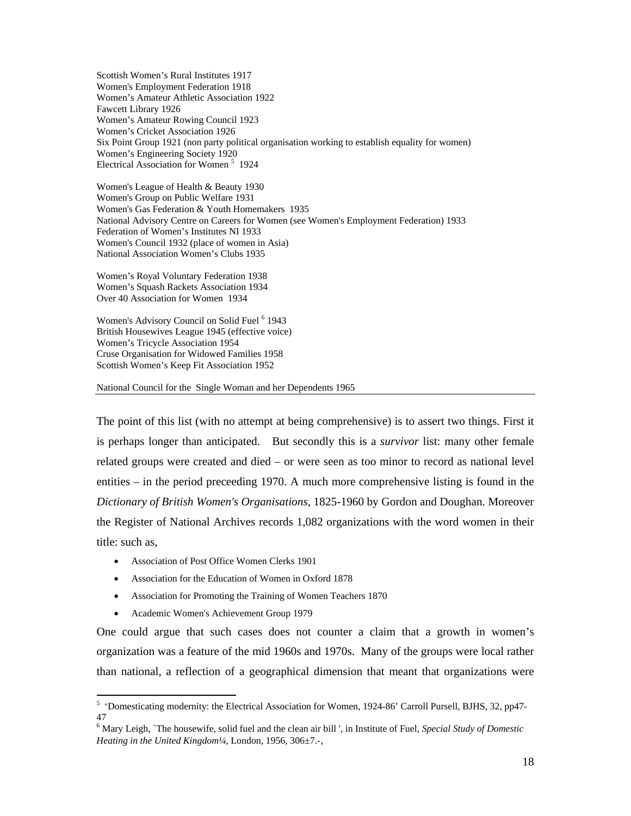Scottish Women's Rural Institutes 1917 Women's Employment Federation 1918 Women's Amateur Athletic Association 1922 Fawcett Library 1926 Women's Amateur Rowing Council 1923 Women's Cricket Association 1926 Six Point Group 1921 (non party political organisation working to establish equality for women) Women's Engineering Society 1920 Electrical Association for Women<sup>5</sup> 1924

Women's League of Health & Beauty 1930 Women's Group on Public Welfare 1931 Women's Gas Federation & Youth Homemakers 1935 National Advisory Centre on Careers for Women (see Women's Employment Federation) 1933 Federation of Women's Institutes NI 1933 Women's Council 1932 (place of women in Asia) National Association Women's Clubs 1935

Women's Royal Voluntary Federation 1938 Women's Squash Rackets Association 1934 Over 40 Association for Women 1934

Women's Advisory Council on Solid Fuel<sup>6</sup> 1943 British Housewives League 1945 (effective voice) Women's Tricycle Association 1954 Cruse Organisation for Widowed Families 1958 Scottish Women's Keep Fit Association 1952

National Council for the Single Woman and her Dependents 1965

The point of this list (with no attempt at being comprehensive) is to assert two things. First it is perhaps longer than anticipated. But secondly this is a *survivor* list: many other female related groups were created and died – or were seen as too minor to record as national level entities – in the period preceeding 1970. A much more comprehensive listing is found in the *Dictionary of British Women's Organisations*, 1825-1960 by Gordon and Doughan. Moreover the Register of National Archives records 1,082 organizations with the word women in their title: such as,

- Association of Post Office Women Clerks 1901
- Association for the Education of Women in Oxford 1878
- Association for Promoting the Training of Women Teachers 1870
- Academic Women's Achievement Group 1979

-

One could argue that such cases does not counter a claim that a growth in women's organization was a feature of the mid 1960s and 1970s. Many of the groups were local rather than national, a reflection of a geographical dimension that meant that organizations were

<sup>&</sup>lt;sup>5</sup> 'Domesticating modernity: the Electrical Association for Women, 1924-86' Carroll Pursell, BJHS, 32, pp47-47

<sup>6</sup> Mary Leigh, `The housewife, solid fuel and the clean air bill ', in Institute of Fuel, *Special Study of Domestic Heating in the United Kingdom¼*, London, 1956, 306±7.-,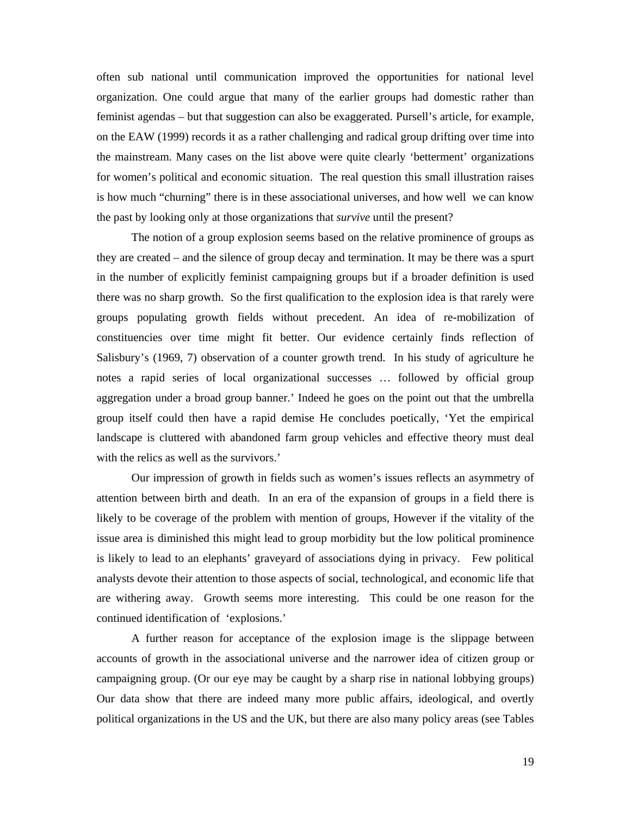often sub national until communication improved the opportunities for national level organization. One could argue that many of the earlier groups had domestic rather than feminist agendas – but that suggestion can also be exaggerated. Pursell's article, for example, on the EAW (1999) records it as a rather challenging and radical group drifting over time into the mainstream. Many cases on the list above were quite clearly 'betterment' organizations for women's political and economic situation. The real question this small illustration raises is how much "churning" there is in these associational universes, and how well we can know the past by looking only at those organizations that *survive* until the present?

The notion of a group explosion seems based on the relative prominence of groups as they are created – and the silence of group decay and termination. It may be there was a spurt in the number of explicitly feminist campaigning groups but if a broader definition is used there was no sharp growth. So the first qualification to the explosion idea is that rarely were groups populating growth fields without precedent. An idea of re-mobilization of constituencies over time might fit better. Our evidence certainly finds reflection of Salisbury's (1969, 7) observation of a counter growth trend. In his study of agriculture he notes a rapid series of local organizational successes … followed by official group aggregation under a broad group banner.' Indeed he goes on the point out that the umbrella group itself could then have a rapid demise He concludes poetically, 'Yet the empirical landscape is cluttered with abandoned farm group vehicles and effective theory must deal with the relics as well as the survivors.'

Our impression of growth in fields such as women's issues reflects an asymmetry of attention between birth and death. In an era of the expansion of groups in a field there is likely to be coverage of the problem with mention of groups, However if the vitality of the issue area is diminished this might lead to group morbidity but the low political prominence is likely to lead to an elephants' graveyard of associations dying in privacy. Few political analysts devote their attention to those aspects of social, technological, and economic life that are withering away. Growth seems more interesting. This could be one reason for the continued identification of 'explosions.'

A further reason for acceptance of the explosion image is the slippage between accounts of growth in the associational universe and the narrower idea of citizen group or campaigning group. (Or our eye may be caught by a sharp rise in national lobbying groups) Our data show that there are indeed many more public affairs, ideological, and overtly political organizations in the US and the UK, but there are also many policy areas (see Tables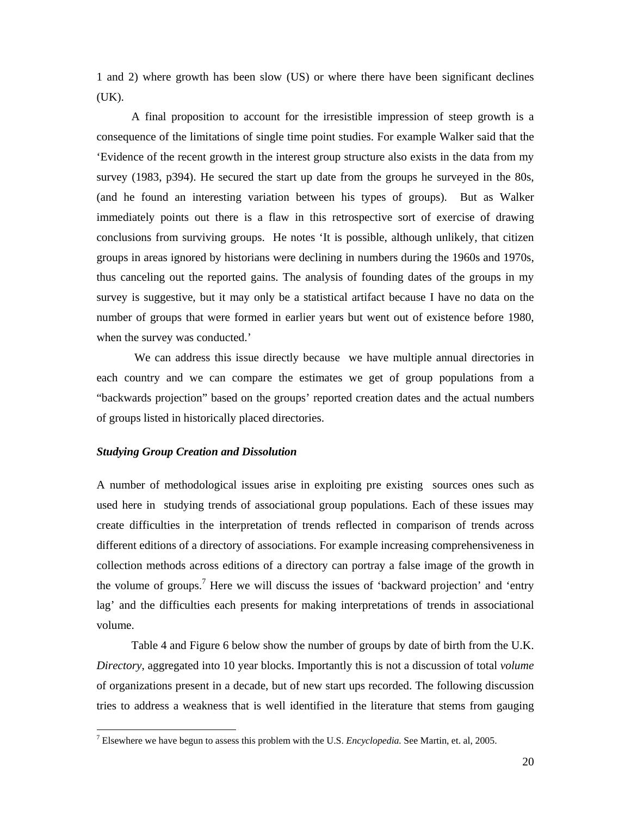1 and 2) where growth has been slow (US) or where there have been significant declines (UK).

A final proposition to account for the irresistible impression of steep growth is a consequence of the limitations of single time point studies. For example Walker said that the 'Evidence of the recent growth in the interest group structure also exists in the data from my survey (1983, p394). He secured the start up date from the groups he surveyed in the 80s, (and he found an interesting variation between his types of groups). But as Walker immediately points out there is a flaw in this retrospective sort of exercise of drawing conclusions from surviving groups. He notes 'It is possible, although unlikely, that citizen groups in areas ignored by historians were declining in numbers during the 1960s and 1970s, thus canceling out the reported gains. The analysis of founding dates of the groups in my survey is suggestive, but it may only be a statistical artifact because I have no data on the number of groups that were formed in earlier years but went out of existence before 1980, when the survey was conducted.'

 We can address this issue directly because we have multiple annual directories in each country and we can compare the estimates we get of group populations from a "backwards projection" based on the groups' reported creation dates and the actual numbers of groups listed in historically placed directories.

# *Studying Group Creation and Dissolution*

A number of methodological issues arise in exploiting pre existing sources ones such as used here in studying trends of associational group populations. Each of these issues may create difficulties in the interpretation of trends reflected in comparison of trends across different editions of a directory of associations. For example increasing comprehensiveness in collection methods across editions of a directory can portray a false image of the growth in the volume of groups.<sup>7</sup> Here we will discuss the issues of 'backward projection' and 'entry lag' and the difficulties each presents for making interpretations of trends in associational volume.

 Table 4 and Figure 6 below show the number of groups by date of birth from the U.K. *Directory*, aggregated into 10 year blocks. Importantly this is not a discussion of total *volume*  of organizations present in a decade, but of new start ups recorded. The following discussion tries to address a weakness that is well identified in the literature that stems from gauging

 7 Elsewhere we have begun to assess this problem with the U.S. *Encyclopedia.* See Martin, et. al, 2005.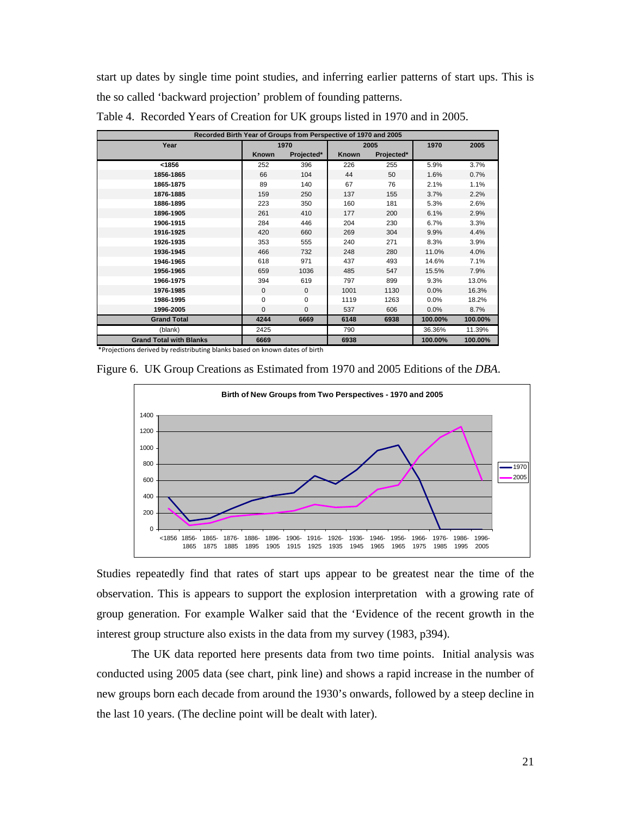start up dates by single time point studies, and inferring earlier patterns of start ups. This is the so called 'backward projection' problem of founding patterns.

| Recorded Birth Year of Groups from Perspective of 1970 and 2005 |              |              |              |            |         |         |  |  |  |  |
|-----------------------------------------------------------------|--------------|--------------|--------------|------------|---------|---------|--|--|--|--|
| Year                                                            |              | 1970         |              | 2005       | 1970    | 2005    |  |  |  |  |
|                                                                 | <b>Known</b> | Projected*   | <b>Known</b> | Projected* |         |         |  |  |  |  |
| < 1856                                                          | 252          | 396          | 226          | 255        | 5.9%    | 3.7%    |  |  |  |  |
| 1856-1865                                                       | 66           | 104          | 44           | 50         | 1.6%    | 0.7%    |  |  |  |  |
| 1865-1875                                                       | 89           | 140          | 67           | 76         | 2.1%    | 1.1%    |  |  |  |  |
| 1876-1885                                                       | 159          | 250          | 137          | 155        | 3.7%    | 2.2%    |  |  |  |  |
| 1886-1895                                                       | 223          | 350          | 160          | 181        | 5.3%    | 2.6%    |  |  |  |  |
| 1896-1905                                                       | 261          | 410          | 177          | 200        | 6.1%    | 2.9%    |  |  |  |  |
| 1906-1915                                                       | 284          | 446          | 204          | 230        | 6.7%    | 3.3%    |  |  |  |  |
| 1916-1925                                                       | 420          | 660          | 269          | 304        | 9.9%    | 4.4%    |  |  |  |  |
| 1926-1935                                                       | 353          | 555          | 240          | 271        | 8.3%    | 3.9%    |  |  |  |  |
| 1936-1945                                                       | 466          | 732          | 248          | 280        | 11.0%   | 4.0%    |  |  |  |  |
| 1946-1965                                                       | 618          | 971          | 437          | 493        | 14.6%   | 7.1%    |  |  |  |  |
| 1956-1965                                                       | 659          | 1036         | 485          | 547        | 15.5%   | 7.9%    |  |  |  |  |
| 1966-1975                                                       | 394          | 619          | 797          | 899        | 9.3%    | 13.0%   |  |  |  |  |
| 1976-1985                                                       | $\mathbf{0}$ | $\mathbf{0}$ | 1001         | 1130       | 0.0%    | 16.3%   |  |  |  |  |
| 1986-1995                                                       | $\Omega$     | $\Omega$     | 1119         | 1263       | 0.0%    | 18.2%   |  |  |  |  |
| 1996-2005                                                       | $\mathbf{0}$ | $\mathbf{0}$ | 537          | 606        | $0.0\%$ | 8.7%    |  |  |  |  |
| <b>Grand Total</b>                                              | 4244         | 6669         | 6148         | 6938       | 100.00% | 100.00% |  |  |  |  |
| (blank)                                                         | 2425         |              | 790          |            | 36.36%  | 11.39%  |  |  |  |  |
| <b>Grand Total with Blanks</b>                                  | 6669         |              | 6938         |            | 100.00% | 100.00% |  |  |  |  |

Table 4. Recorded Years of Creation for UK groups listed in 1970 and in 2005.

\*Projections derived by redistributing blanks based on known dates of birth

Figure 6. UK Group Creations as Estimated from 1970 and 2005 Editions of the *DBA*.



Studies repeatedly find that rates of start ups appear to be greatest near the time of the observation. This is appears to support the explosion interpretation with a growing rate of group generation. For example Walker said that the 'Evidence of the recent growth in the interest group structure also exists in the data from my survey (1983, p394).

The UK data reported here presents data from two time points. Initial analysis was conducted using 2005 data (see chart, pink line) and shows a rapid increase in the number of new groups born each decade from around the 1930's onwards, followed by a steep decline in the last 10 years. (The decline point will be dealt with later).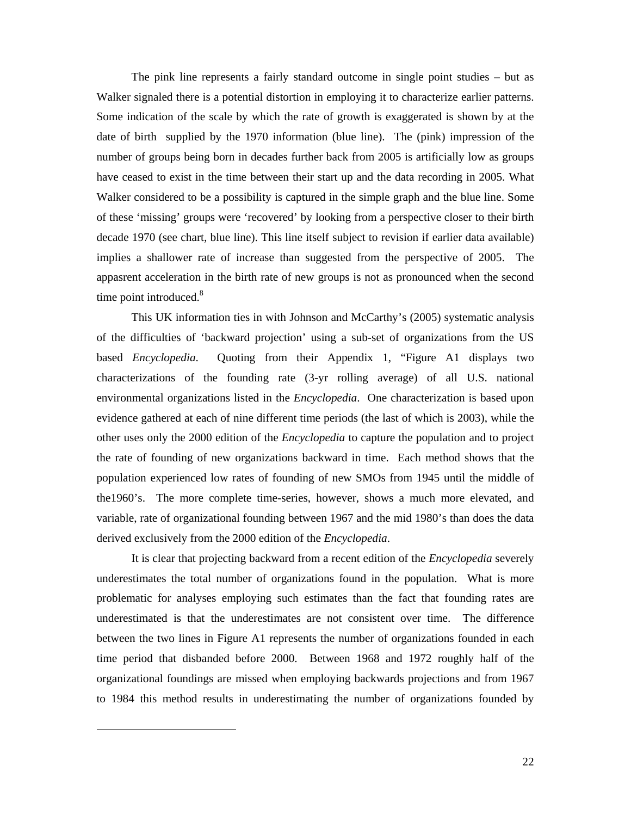The pink line represents a fairly standard outcome in single point studies – but as Walker signaled there is a potential distortion in employing it to characterize earlier patterns. Some indication of the scale by which the rate of growth is exaggerated is shown by at the date of birth supplied by the 1970 information (blue line). The (pink) impression of the number of groups being born in decades further back from 2005 is artificially low as groups have ceased to exist in the time between their start up and the data recording in 2005. What Walker considered to be a possibility is captured in the simple graph and the blue line. Some of these 'missing' groups were 'recovered' by looking from a perspective closer to their birth decade 1970 (see chart, blue line). This line itself subject to revision if earlier data available) implies a shallower rate of increase than suggested from the perspective of 2005. The appasrent acceleration in the birth rate of new groups is not as pronounced when the second time point introduced. $8$ 

This UK information ties in with Johnson and McCarthy's (2005) systematic analysis of the difficulties of 'backward projection' using a sub-set of organizations from the US based *Encyclopedia*. Quoting from their Appendix 1, "Figure A1 displays two characterizations of the founding rate (3-yr rolling average) of all U.S. national environmental organizations listed in the *Encyclopedia*. One characterization is based upon evidence gathered at each of nine different time periods (the last of which is 2003), while the other uses only the 2000 edition of the *Encyclopedia* to capture the population and to project the rate of founding of new organizations backward in time. Each method shows that the population experienced low rates of founding of new SMOs from 1945 until the middle of the1960's. The more complete time-series, however, shows a much more elevated, and variable, rate of organizational founding between 1967 and the mid 1980's than does the data derived exclusively from the 2000 edition of the *Encyclopedia*.

It is clear that projecting backward from a recent edition of the *Encyclopedia* severely underestimates the total number of organizations found in the population. What is more problematic for analyses employing such estimates than the fact that founding rates are underestimated is that the underestimates are not consistent over time. The difference between the two lines in Figure A1 represents the number of organizations founded in each time period that disbanded before 2000. Between 1968 and 1972 roughly half of the organizational foundings are missed when employing backwards projections and from 1967 to 1984 this method results in underestimating the number of organizations founded by

-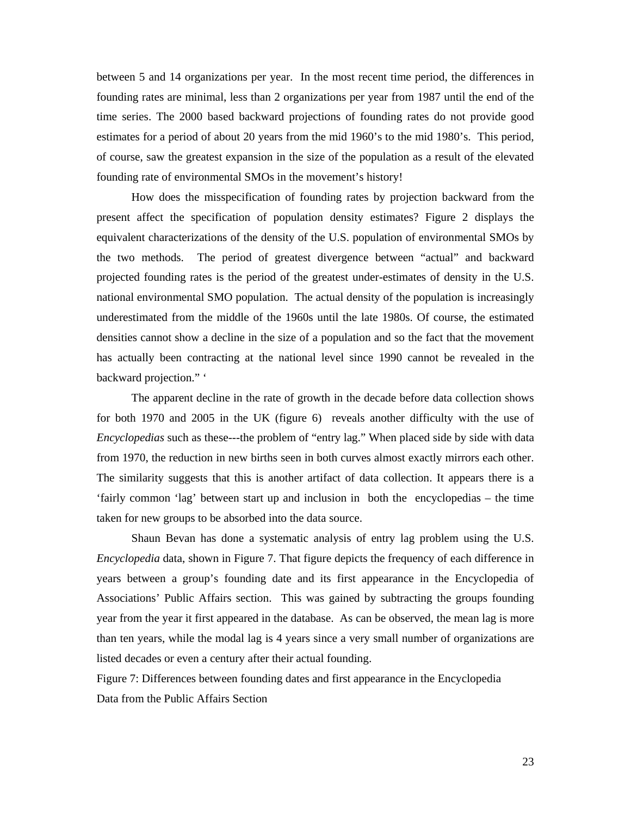between 5 and 14 organizations per year. In the most recent time period, the differences in founding rates are minimal, less than 2 organizations per year from 1987 until the end of the time series. The 2000 based backward projections of founding rates do not provide good estimates for a period of about 20 years from the mid 1960's to the mid 1980's. This period, of course, saw the greatest expansion in the size of the population as a result of the elevated founding rate of environmental SMOs in the movement's history!

How does the misspecification of founding rates by projection backward from the present affect the specification of population density estimates? Figure 2 displays the equivalent characterizations of the density of the U.S. population of environmental SMOs by the two methods. The period of greatest divergence between "actual" and backward projected founding rates is the period of the greatest under-estimates of density in the U.S. national environmental SMO population. The actual density of the population is increasingly underestimated from the middle of the 1960s until the late 1980s. Of course, the estimated densities cannot show a decline in the size of a population and so the fact that the movement has actually been contracting at the national level since 1990 cannot be revealed in the backward projection." '

The apparent decline in the rate of growth in the decade before data collection shows for both 1970 and 2005 in the UK (figure 6) reveals another difficulty with the use of *Encyclopedias* such as these---the problem of "entry lag." When placed side by side with data from 1970, the reduction in new births seen in both curves almost exactly mirrors each other. The similarity suggests that this is another artifact of data collection. It appears there is a 'fairly common 'lag' between start up and inclusion in both the encyclopedias – the time taken for new groups to be absorbed into the data source.

Shaun Bevan has done a systematic analysis of entry lag problem using the U.S. *Encyclopedia* data, shown in Figure 7. That figure depicts the frequency of each difference in years between a group's founding date and its first appearance in the Encyclopedia of Associations' Public Affairs section. This was gained by subtracting the groups founding year from the year it first appeared in the database. As can be observed, the mean lag is more than ten years, while the modal lag is 4 years since a very small number of organizations are listed decades or even a century after their actual founding.

Figure 7: Differences between founding dates and first appearance in the Encyclopedia Data from the Public Affairs Section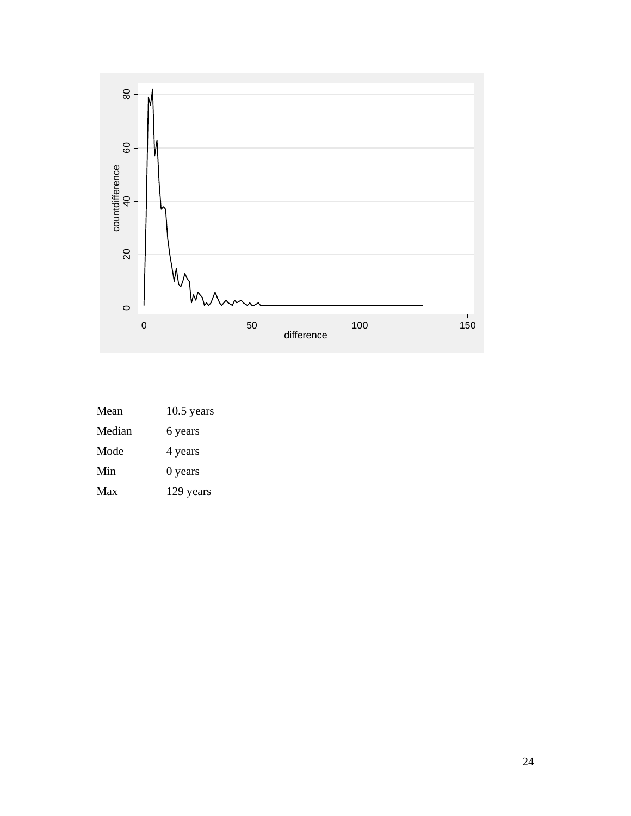

| Mean   | $10.5$ years |
|--------|--------------|
| Median | 6 years      |
| Mode   | 4 years      |
| Min    | $0$ years    |
| Max    | 129 years    |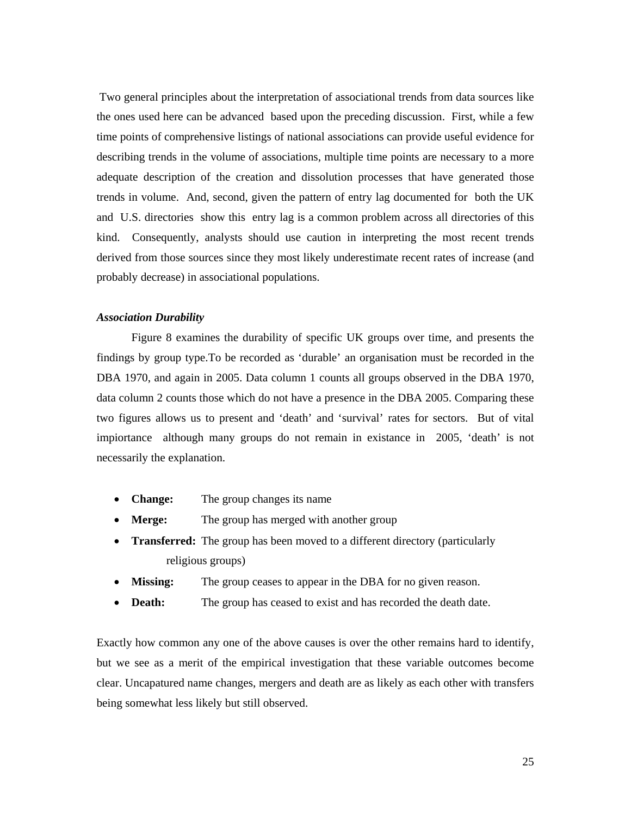Two general principles about the interpretation of associational trends from data sources like the ones used here can be advanced based upon the preceding discussion. First, while a few time points of comprehensive listings of national associations can provide useful evidence for describing trends in the volume of associations, multiple time points are necessary to a more adequate description of the creation and dissolution processes that have generated those trends in volume. And, second, given the pattern of entry lag documented for both the UK and U.S. directories show this entry lag is a common problem across all directories of this kind. Consequently, analysts should use caution in interpreting the most recent trends derived from those sources since they most likely underestimate recent rates of increase (and probably decrease) in associational populations.

#### *Association Durability*

Figure 8 examines the durability of specific UK groups over time, and presents the findings by group type.To be recorded as 'durable' an organisation must be recorded in the DBA 1970, and again in 2005. Data column 1 counts all groups observed in the DBA 1970, data column 2 counts those which do not have a presence in the DBA 2005. Comparing these two figures allows us to present and 'death' and 'survival' rates for sectors. But of vital impiortance although many groups do not remain in existance in 2005, 'death' is not necessarily the explanation.

- **Change:** The group changes its name
- **Merge:** The group has merged with another group
- **Transferred:** The group has been moved to a different directory (particularly religious groups)
- **Missing:** The group ceases to appear in the DBA for no given reason.
- **Death:** The group has ceased to exist and has recorded the death date.

Exactly how common any one of the above causes is over the other remains hard to identify, but we see as a merit of the empirical investigation that these variable outcomes become clear. Uncapatured name changes, mergers and death are as likely as each other with transfers being somewhat less likely but still observed.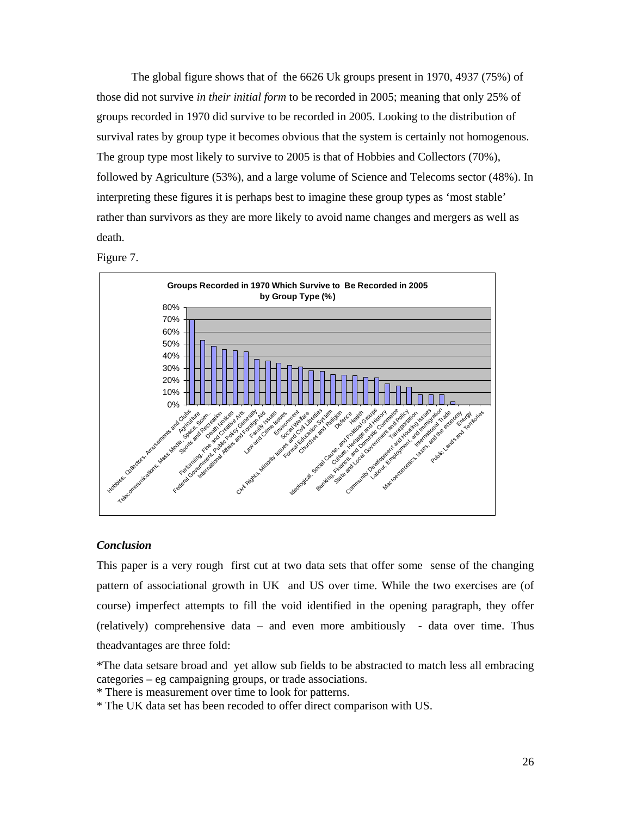The global figure shows that of the 6626 Uk groups present in 1970, 4937 (75%) of those did not survive *in their initial form* to be recorded in 2005; meaning that only 25% of groups recorded in 1970 did survive to be recorded in 2005. Looking to the distribution of survival rates by group type it becomes obvious that the system is certainly not homogenous. The group type most likely to survive to 2005 is that of Hobbies and Collectors (70%), followed by Agriculture (53%), and a large volume of Science and Telecoms sector (48%). In interpreting these figures it is perhaps best to imagine these group types as 'most stable' rather than survivors as they are more likely to avoid name changes and mergers as well as death.

Figure 7.



# *Conclusion*

This paper is a very rough first cut at two data sets that offer some sense of the changing pattern of associational growth in UK and US over time. While the two exercises are (of course) imperfect attempts to fill the void identified in the opening paragraph, they offer (relatively) comprehensive data – and even more ambitiously - data over time. Thus theadvantages are three fold:

\*The data setsare broad and yet allow sub fields to be abstracted to match less all embracing categories – eg campaigning groups, or trade associations.

\* There is measurement over time to look for patterns.

\* The UK data set has been recoded to offer direct comparison with US.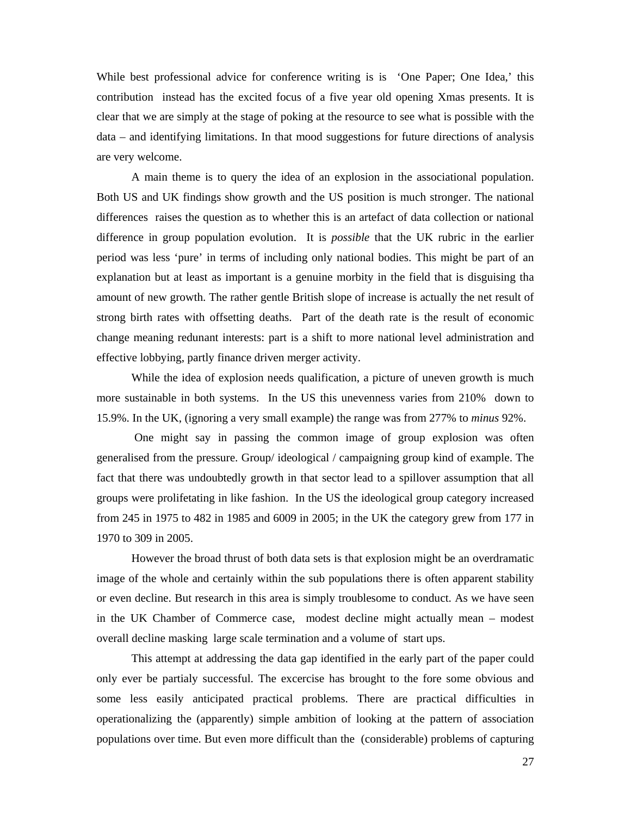While best professional advice for conference writing is is 'One Paper; One Idea,' this contribution instead has the excited focus of a five year old opening Xmas presents. It is clear that we are simply at the stage of poking at the resource to see what is possible with the data – and identifying limitations. In that mood suggestions for future directions of analysis are very welcome.

A main theme is to query the idea of an explosion in the associational population. Both US and UK findings show growth and the US position is much stronger. The national differences raises the question as to whether this is an artefact of data collection or national difference in group population evolution. It is *possible* that the UK rubric in the earlier period was less 'pure' in terms of including only national bodies. This might be part of an explanation but at least as important is a genuine morbity in the field that is disguising tha amount of new growth. The rather gentle British slope of increase is actually the net result of strong birth rates with offsetting deaths. Part of the death rate is the result of economic change meaning redunant interests: part is a shift to more national level administration and effective lobbying, partly finance driven merger activity.

While the idea of explosion needs qualification, a picture of uneven growth is much more sustainable in both systems. In the US this unevenness varies from 210% down to 15.9%. In the UK, (ignoring a very small example) the range was from 277% to *minus* 92%.

 One might say in passing the common image of group explosion was often generalised from the pressure. Group/ ideological / campaigning group kind of example. The fact that there was undoubtedly growth in that sector lead to a spillover assumption that all groups were prolifetating in like fashion. In the US the ideological group category increased from 245 in 1975 to 482 in 1985 and 6009 in 2005; in the UK the category grew from 177 in 1970 to 309 in 2005.

However the broad thrust of both data sets is that explosion might be an overdramatic image of the whole and certainly within the sub populations there is often apparent stability or even decline. But research in this area is simply troublesome to conduct. As we have seen in the UK Chamber of Commerce case, modest decline might actually mean – modest overall decline masking large scale termination and a volume of start ups.

This attempt at addressing the data gap identified in the early part of the paper could only ever be partialy successful. The excercise has brought to the fore some obvious and some less easily anticipated practical problems. There are practical difficulties in operationalizing the (apparently) simple ambition of looking at the pattern of association populations over time. But even more difficult than the (considerable) problems of capturing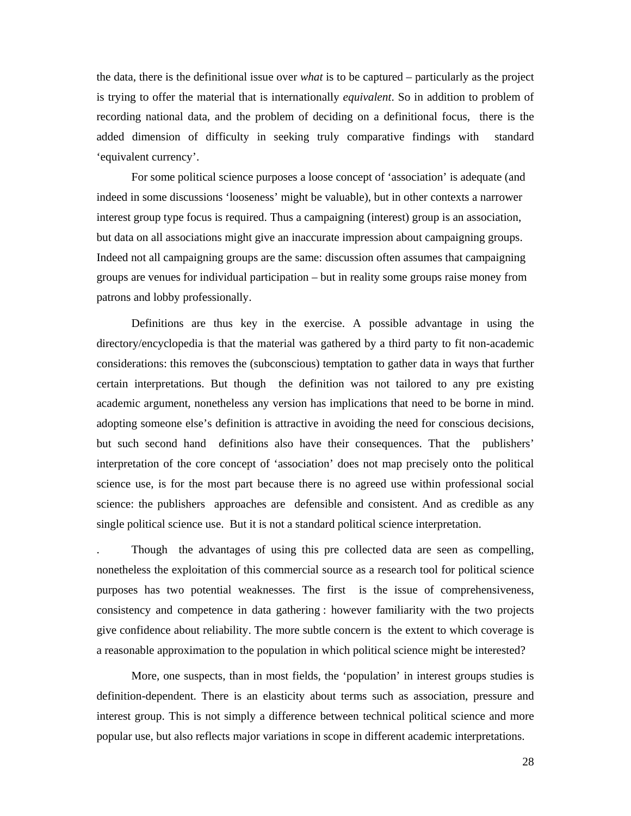the data, there is the definitional issue over *what* is to be captured – particularly as the project is trying to offer the material that is internationally *equivalent*. So in addition to problem of recording national data, and the problem of deciding on a definitional focus, there is the added dimension of difficulty in seeking truly comparative findings with standard 'equivalent currency'.

For some political science purposes a loose concept of 'association' is adequate (and indeed in some discussions 'looseness' might be valuable), but in other contexts a narrower interest group type focus is required. Thus a campaigning (interest) group is an association, but data on all associations might give an inaccurate impression about campaigning groups. Indeed not all campaigning groups are the same: discussion often assumes that campaigning groups are venues for individual participation – but in reality some groups raise money from patrons and lobby professionally.

Definitions are thus key in the exercise. A possible advantage in using the directory/encyclopedia is that the material was gathered by a third party to fit non-academic considerations: this removes the (subconscious) temptation to gather data in ways that further certain interpretations. But though the definition was not tailored to any pre existing academic argument, nonetheless any version has implications that need to be borne in mind. adopting someone else's definition is attractive in avoiding the need for conscious decisions, but such second hand definitions also have their consequences. That the publishers' interpretation of the core concept of 'association' does not map precisely onto the political science use, is for the most part because there is no agreed use within professional social science: the publishers approaches are defensible and consistent. And as credible as any single political science use. But it is not a standard political science interpretation.

. Though the advantages of using this pre collected data are seen as compelling, nonetheless the exploitation of this commercial source as a research tool for political science purposes has two potential weaknesses. The first is the issue of comprehensiveness, consistency and competence in data gathering : however familiarity with the two projects give confidence about reliability. The more subtle concern is the extent to which coverage is a reasonable approximation to the population in which political science might be interested?

 More, one suspects, than in most fields, the 'population' in interest groups studies is definition-dependent. There is an elasticity about terms such as association, pressure and interest group. This is not simply a difference between technical political science and more popular use, but also reflects major variations in scope in different academic interpretations.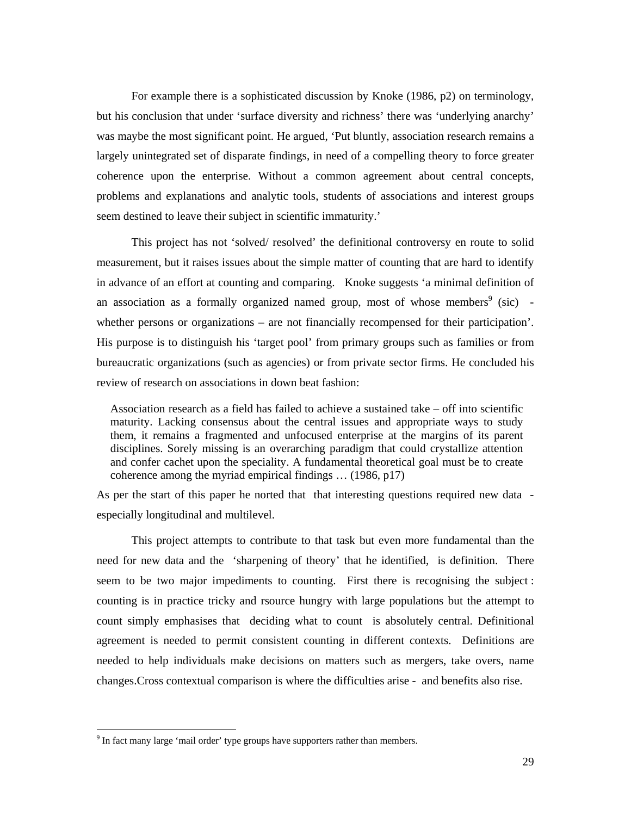For example there is a sophisticated discussion by Knoke (1986, p2) on terminology, but his conclusion that under 'surface diversity and richness' there was 'underlying anarchy' was maybe the most significant point. He argued, 'Put bluntly, association research remains a largely unintegrated set of disparate findings, in need of a compelling theory to force greater coherence upon the enterprise. Without a common agreement about central concepts, problems and explanations and analytic tools, students of associations and interest groups seem destined to leave their subject in scientific immaturity.'

This project has not 'solved/ resolved' the definitional controversy en route to solid measurement, but it raises issues about the simple matter of counting that are hard to identify in advance of an effort at counting and comparing. Knoke suggests 'a minimal definition of an association as a formally organized named group, most of whose members<sup>9</sup> (sic) whether persons or organizations – are not financially recompensed for their participation'. His purpose is to distinguish his 'target pool' from primary groups such as families or from bureaucratic organizations (such as agencies) or from private sector firms. He concluded his review of research on associations in down beat fashion:

Association research as a field has failed to achieve a sustained take – off into scientific maturity. Lacking consensus about the central issues and appropriate ways to study them, it remains a fragmented and unfocused enterprise at the margins of its parent disciplines. Sorely missing is an overarching paradigm that could crystallize attention and confer cachet upon the speciality. A fundamental theoretical goal must be to create coherence among the myriad empirical findings … (1986, p17)

As per the start of this paper he norted that that interesting questions required new data especially longitudinal and multilevel.

This project attempts to contribute to that task but even more fundamental than the need for new data and the 'sharpening of theory' that he identified, is definition. There seem to be two major impediments to counting. First there is recognising the subject : counting is in practice tricky and rsource hungry with large populations but the attempt to count simply emphasises that deciding what to count is absolutely central. Definitional agreement is needed to permit consistent counting in different contexts. Definitions are needed to help individuals make decisions on matters such as mergers, take overs, name changes.Cross contextual comparison is where the difficulties arise - and benefits also rise.

The fact many large 'mail order' type groups have supporters rather than members.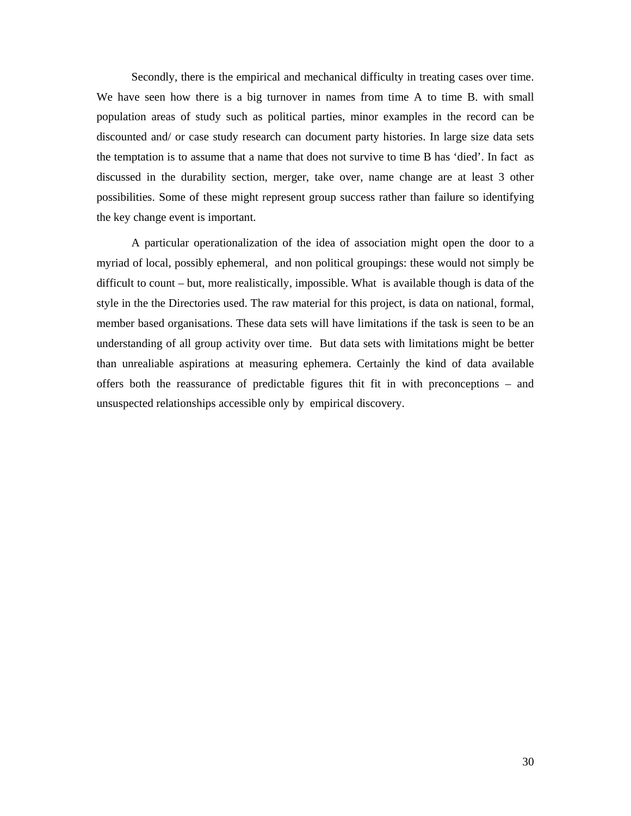Secondly, there is the empirical and mechanical difficulty in treating cases over time. We have seen how there is a big turnover in names from time A to time B. with small population areas of study such as political parties, minor examples in the record can be discounted and/ or case study research can document party histories. In large size data sets the temptation is to assume that a name that does not survive to time B has 'died'. In fact as discussed in the durability section, merger, take over, name change are at least 3 other possibilities. Some of these might represent group success rather than failure so identifying the key change event is important.

A particular operationalization of the idea of association might open the door to a myriad of local, possibly ephemeral, and non political groupings: these would not simply be difficult to count – but, more realistically, impossible. What is available though is data of the style in the the Directories used. The raw material for this project, is data on national, formal, member based organisations. These data sets will have limitations if the task is seen to be an understanding of all group activity over time. But data sets with limitations might be better than unrealiable aspirations at measuring ephemera. Certainly the kind of data available offers both the reassurance of predictable figures thit fit in with preconceptions – and unsuspected relationships accessible only by empirical discovery.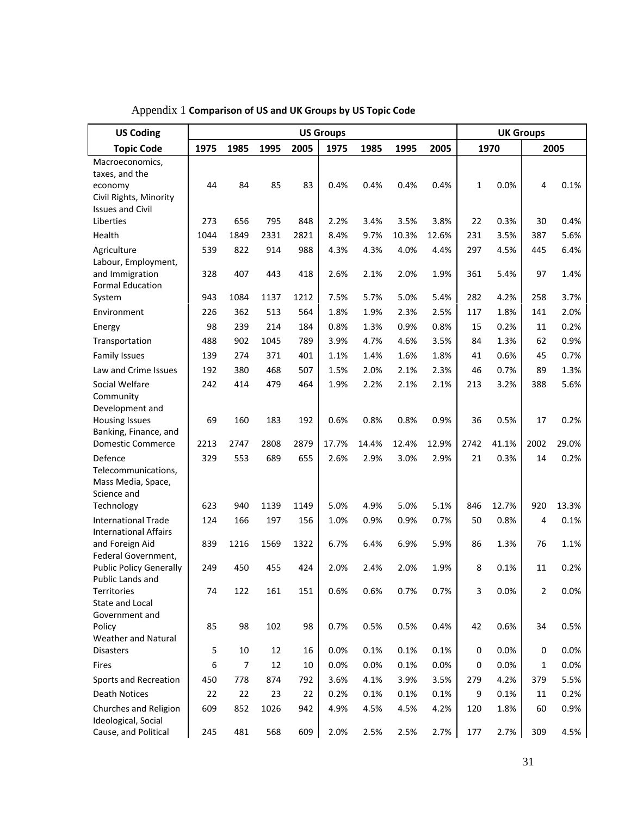| <b>US Coding</b>                                      | <b>US Groups</b> |                |      |      |       |       | <b>UK Groups</b> |       |           |       |                |       |
|-------------------------------------------------------|------------------|----------------|------|------|-------|-------|------------------|-------|-----------|-------|----------------|-------|
| <b>Topic Code</b>                                     | 1975             | 1985           | 1995 | 2005 | 1975  | 1985  | 1995             | 2005  | 1970      |       | 2005           |       |
| Macroeconomics,                                       |                  |                |      |      |       |       |                  |       |           |       |                |       |
| taxes, and the<br>economy                             | 44               | 84             | 85   | 83   | 0.4%  | 0.4%  | 0.4%             | 0.4%  | 1         | 0.0%  | 4              | 0.1%  |
| Civil Rights, Minority                                |                  |                |      |      |       |       |                  |       |           |       |                |       |
| <b>Issues and Civil</b>                               |                  |                |      |      |       |       |                  |       |           |       |                |       |
| Liberties                                             | 273              | 656            | 795  | 848  | 2.2%  | 3.4%  | 3.5%             | 3.8%  | 22        | 0.3%  | 30             | 0.4%  |
| Health                                                | 1044             | 1849           | 2331 | 2821 | 8.4%  | 9.7%  | 10.3%            | 12.6% | 231       | 3.5%  | 387            | 5.6%  |
| Agriculture                                           | 539              | 822            | 914  | 988  | 4.3%  | 4.3%  | 4.0%             | 4.4%  | 297       | 4.5%  | 445            | 6.4%  |
| Labour, Employment,<br>and Immigration                | 328              | 407            | 443  | 418  | 2.6%  | 2.1%  | 2.0%             | 1.9%  | 361       | 5.4%  | 97             | 1.4%  |
| <b>Formal Education</b>                               |                  |                |      |      |       |       |                  |       |           |       |                |       |
| System                                                | 943              | 1084           | 1137 | 1212 | 7.5%  | 5.7%  | 5.0%             | 5.4%  | 282       | 4.2%  | 258            | 3.7%  |
| Environment                                           | 226              | 362            | 513  | 564  | 1.8%  | 1.9%  | 2.3%             | 2.5%  | 117       | 1.8%  | 141            | 2.0%  |
| Energy                                                | 98               | 239            | 214  | 184  | 0.8%  | 1.3%  | 0.9%             | 0.8%  | 15        | 0.2%  | 11             | 0.2%  |
| Transportation                                        | 488              | 902            | 1045 | 789  | 3.9%  | 4.7%  | 4.6%             | 3.5%  | 84        | 1.3%  | 62             | 0.9%  |
| <b>Family Issues</b>                                  | 139              | 274            | 371  | 401  | 1.1%  | 1.4%  | 1.6%             | 1.8%  | 41        | 0.6%  | 45             | 0.7%  |
| Law and Crime Issues                                  | 192              | 380            | 468  | 507  | 1.5%  | 2.0%  | 2.1%             | 2.3%  | 46        | 0.7%  | 89             | 1.3%  |
| Social Welfare                                        | 242              | 414            | 479  | 464  | 1.9%  | 2.2%  | 2.1%             | 2.1%  | 213       | 3.2%  | 388            | 5.6%  |
| Community                                             |                  |                |      |      |       |       |                  |       |           |       |                |       |
| Development and<br><b>Housing Issues</b>              | 69               | 160            | 183  | 192  | 0.6%  | 0.8%  | 0.8%             | 0.9%  | 36        | 0.5%  | 17             | 0.2%  |
| Banking, Finance, and                                 |                  |                |      |      |       |       |                  |       |           |       |                |       |
| <b>Domestic Commerce</b>                              | 2213             | 2747           | 2808 | 2879 | 17.7% | 14.4% | 12.4%            | 12.9% | 2742      | 41.1% | 2002           | 29.0% |
| Defence                                               | 329              | 553            | 689  | 655  | 2.6%  | 2.9%  | 3.0%             | 2.9%  | 21        | 0.3%  | 14             | 0.2%  |
| Telecommunications,                                   |                  |                |      |      |       |       |                  |       |           |       |                |       |
| Mass Media, Space,<br>Science and                     |                  |                |      |      |       |       |                  |       |           |       |                |       |
| Technology                                            | 623              | 940            | 1139 | 1149 | 5.0%  | 4.9%  | 5.0%             | 5.1%  | 846       | 12.7% | 920            | 13.3% |
| <b>International Trade</b>                            | 124              | 166            | 197  | 156  | 1.0%  | 0.9%  | 0.9%             | 0.7%  | 50        | 0.8%  | 4              | 0.1%  |
| <b>International Affairs</b>                          |                  |                |      |      |       |       |                  |       |           |       |                |       |
| and Foreign Aid                                       | 839              | 1216           | 1569 | 1322 | 6.7%  | 6.4%  | 6.9%             | 5.9%  | 86        | 1.3%  | 76             | 1.1%  |
| Federal Government,<br><b>Public Policy Generally</b> | 249              | 450            | 455  | 424  | 2.0%  | 2.4%  | 2.0%             | 1.9%  | 8         | 0.1%  | 11             | 0.2%  |
| Public Lands and                                      |                  |                |      |      |       |       |                  |       |           |       |                |       |
| Territories                                           | 74               | 122            | 161  | 151  | 0.6%  | 0.6%  | 0.7%             | 0.7%  | 3         | 0.0%  | $\overline{2}$ | 0.0%  |
| State and Local                                       |                  |                |      |      |       |       |                  |       |           |       |                |       |
| Government and<br>Policy                              | 85               | 98             | 102  | 98   | 0.7%  | 0.5%  | 0.5%             | 0.4%  | 42        | 0.6%  | 34             | 0.5%  |
| Weather and Natural                                   |                  |                |      |      |       |       |                  |       |           |       |                |       |
| <b>Disasters</b>                                      | 5                | 10             | 12   | 16   | 0.0%  | 0.1%  | 0.1%             | 0.1%  | $\pmb{0}$ | 0.0%  | 0              | 0.0%  |
| Fires                                                 | 6                | $\overline{7}$ | 12   | 10   | 0.0%  | 0.0%  | 0.1%             | 0.0%  | 0         | 0.0%  | 1              | 0.0%  |
| Sports and Recreation                                 | 450              | 778            | 874  | 792  | 3.6%  | 4.1%  | 3.9%             | 3.5%  | 279       | 4.2%  | 379            | 5.5%  |
| <b>Death Notices</b>                                  | 22               | 22             | 23   | 22   | 0.2%  | 0.1%  | 0.1%             | 0.1%  | 9         | 0.1%  | 11             | 0.2%  |
| Churches and Religion                                 | 609              | 852            | 1026 | 942  | 4.9%  | 4.5%  | 4.5%             | 4.2%  | 120       | 1.8%  | 60             | 0.9%  |
| Ideological, Social                                   |                  |                |      |      |       |       |                  |       |           |       |                |       |
| Cause, and Political                                  | 245              | 481            | 568  | 609  | 2.0%  | 2.5%  | 2.5%             | 2.7%  | 177       | 2.7%  | 309            | 4.5%  |

Appendix 1 **Comparison of US and UK Groups by US Topic Code**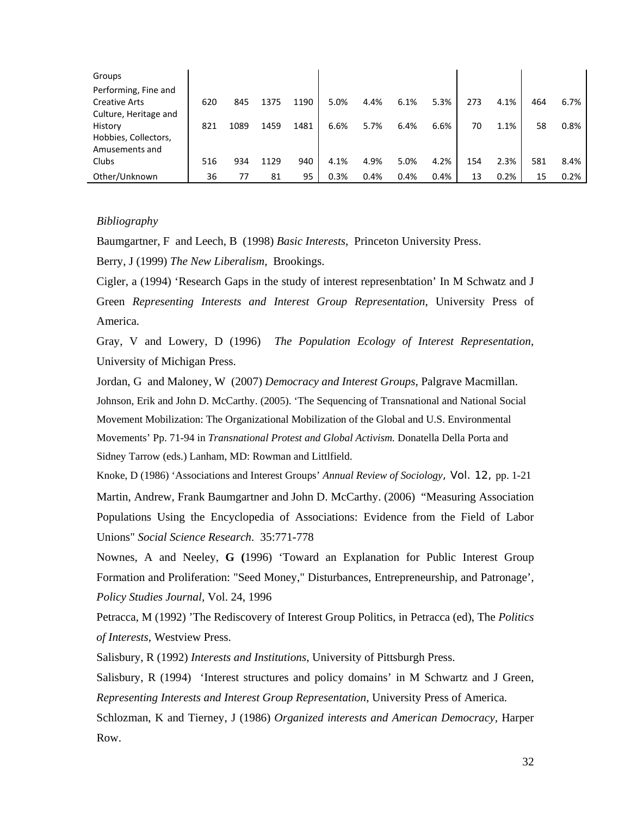| Groups                |     |      |      |      |      |      |      |      |     |      |     |      |
|-----------------------|-----|------|------|------|------|------|------|------|-----|------|-----|------|
| Performing, Fine and  |     |      |      |      |      |      |      |      |     |      |     |      |
| <b>Creative Arts</b>  | 620 | 845  | 1375 | 1190 | 5.0% | 4.4% | 6.1% | 5.3% | 273 | 4.1% | 464 | 6.7% |
| Culture, Heritage and |     |      |      |      |      |      |      |      |     |      |     |      |
| History               | 821 | 1089 | 1459 | 1481 | 6.6% | 5.7% | 6.4% | 6.6% | 70  | 1.1% | 58  | 0.8% |
| Hobbies, Collectors,  |     |      |      |      |      |      |      |      |     |      |     |      |
| Amusements and        |     |      |      |      |      |      |      |      |     |      |     |      |
| Clubs                 | 516 | 934  | 1129 | 940  | 4.1% | 4.9% | 5.0% | 4.2% | 154 | 2.3% | 581 | 8.4% |
| Other/Unknown         | 36  | 77   | 81   | 95   | 0.3% | 0.4% | 0.4% | 0.4% | 13  | 0.2% | 15  | 0.2% |

# *Bibliography*

Baumgartner, F and Leech, B (1998) *Basic Interests*, Princeton University Press.

Berry, J (1999) *The New Liberalism*, Brookings.

Cigler, a (1994) 'Research Gaps in the study of interest represenbtation' In M Schwatz and J Green *Representing Interests and Interest Group Representation*, University Press of America.

Gray, V and Lowery, D (1996) *The Population Ecology of Interest Representation*, University of Michigan Press.

Jordan, G and Maloney, W (2007) *Democracy and Interest Groups*, Palgrave Macmillan. Johnson, Erik and John D. McCarthy. (2005). 'The Sequencing of Transnational and National Social Movement Mobilization: The Organizational Mobilization of the Global and U.S. Environmental Movements' Pp. 71-94 in *Transnational Protest and Global Activism.* Donatella Della Porta and Sidney Tarrow (eds.) Lanham, MD: Rowman and Littlfield.

Knoke, D (1986) 'Associations and Interest Groups' *Annual Review of Sociology*, Vol. 12, pp. 1-21 Martin, Andrew, Frank Baumgartner and John D. McCarthy. (2006) "Measuring Association Populations Using the Encyclopedia of Associations: Evidence from the Field of Labor Unions" *Social Science Research*. 35:771-778

Nownes, A and Neeley, **G (**1996) 'Toward an Explanation for Public Interest Group Formation and Proliferation: "Seed Money," Disturbances, Entrepreneurship, and Patronage', *Policy Studies Journal,* Vol. 24, 1996

Petracca, M (1992) 'The Rediscovery of Interest Group Politics, in Petracca (ed), The *Politics of Interests*, Westview Press.

Salisbury, R (1992) *Interests and Institutions*, University of Pittsburgh Press.

Salisbury, R (1994) 'Interest structures and policy domains' in M Schwartz and J Green, *Representing Interests and Interest Group Representation*, University Press of America.

Schlozman, K and Tierney, J (1986) *Organized interests and American Democracy,* Harper Row.